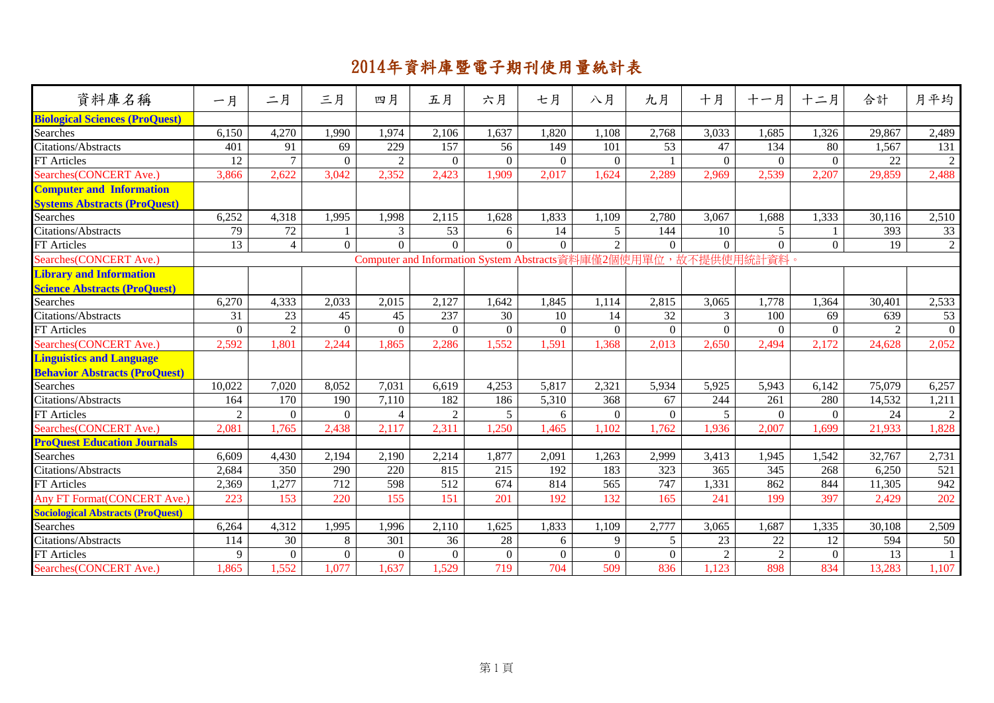| 資料庫名稱                                    | 一月             | 二月               | 三月             | 四月             | 五月             | 六月             | 七月       | 八月             | 九月                                                              | 十月             | 十一月            | 十二月      | 合計     | 月平均            |
|------------------------------------------|----------------|------------------|----------------|----------------|----------------|----------------|----------|----------------|-----------------------------------------------------------------|----------------|----------------|----------|--------|----------------|
| <b>Biological Sciences (ProQuest)</b>    |                |                  |                |                |                |                |          |                |                                                                 |                |                |          |        |                |
| <b>Searches</b>                          | 6,150          | 4,270            | 1,990          | 1,974          | 2,106          | 1,637          | 1,820    | 1,108          | 2,768                                                           | 3,033          | 1,685          | 1,326    | 29,867 | 2,489          |
| Citations/Abstracts                      | 401            | 91               | 69             | 229            | 157            | 56             | 149      | 101            | 53                                                              | 47             | 134            | 80       | 1,567  | 131            |
| FT Articles                              | 12             | $\overline{7}$   | $\Omega$       | $\mathfrak{D}$ | $\Omega$       | $\mathbf{0}$   | $\Omega$ | $\Omega$       | $\mathbf{1}$                                                    | $\Omega$       | $\Omega$       | $\Omega$ | 22     | $\overline{2}$ |
| Searches(CONCERT Ave.)                   | 3,866          | 2,622            | 3,042          | 2,352          | 2,423          | 1,909          | 2,017    | .624           | 2,289                                                           | 2,969          | 2,539          | 2,207    | 29,859 | 2,488          |
| <b>Computer and Information</b>          |                |                  |                |                |                |                |          |                |                                                                 |                |                |          |        |                |
| <b>Systems Abstracts (ProQuest)</b>      |                |                  |                |                |                |                |          |                |                                                                 |                |                |          |        |                |
| Searches                                 | 6,252          | 4,318            | 1,995          | 1,998          | 2,115          | 1,628          | 1,833    | 1,109          | 2,780                                                           | 3,067          | 1,688          | 1,333    | 30,116 | 2,510          |
| Citations/Abstracts                      | 79             | $72\,$           | $\mathbf{1}$   | 3              | 53             | 6              | 14       | 5              | 144                                                             | 10             | 5              |          | 393    | 33             |
| FT Articles                              | 13             | $\overline{4}$   | $\overline{0}$ | $\Omega$       | $\Omega$       | $\theta$       | $\Omega$ | $\overline{2}$ | $\Omega$                                                        | $\Omega$       | $\overline{0}$ | $\theta$ | 19     | $\overline{2}$ |
| Searches(CONCERT Ave.)                   |                |                  |                |                |                |                |          |                | Computer and Information System Abstracts資料庫僅2個使用單位,故不提供使用統計資料。 |                |                |          |        |                |
| <b>Library and Information</b>           |                |                  |                |                |                |                |          |                |                                                                 |                |                |          |        |                |
| <b>Science Abstracts (ProQuest)</b>      |                |                  |                |                |                |                |          |                |                                                                 |                |                |          |        |                |
| Searches                                 | 6,270          | 4,333            | 2,033          | 2,015          | 2,127          | 1,642          | 1,845    | 1,114          | 2,815                                                           | 3,065          | 1,778          | 1,364    | 30,401 | 2,533          |
| <b>Citations/Abstracts</b>               | 31             | 23               | 45             | 45             | 237            | 30             | 10       | 14             | 32                                                              | 3              | 100            | 69       | 639    | 53             |
| <b>FT</b> Articles                       | $\Omega$       | $\overline{2}$   | $\overline{0}$ | $\Omega$       | $\overline{0}$ | $\overline{0}$ | $\theta$ | $\Omega$       | $\overline{0}$                                                  | $\overline{0}$ | $\Omega$       | $\Omega$ | 2      | $\theta$       |
| Searches(CONCERT Ave.)                   | 2,592          | 1,801            | 2,244          | 1,865          | 2,286          | 1,552          | 1,591    | 1,368          | 2,013                                                           | 2,650          | 2,494          | 2,172    | 24,628 | 2,052          |
| <b>Linguistics and Language</b>          |                |                  |                |                |                |                |          |                |                                                                 |                |                |          |        |                |
| <b>Behavior Abstracts (ProQuest)</b>     |                |                  |                |                |                |                |          |                |                                                                 |                |                |          |        |                |
| Searches                                 | 10,022         | 7,020            | 8,052          | 7,031          | 6,619          | 4,253          | 5,817    | 2,321          | 5,934                                                           | 5,925          | 5,943          | 6,142    | 75,079 | 6,257          |
| Citations/Abstracts                      | 164            | 170              | 190            | 7,110          | 182            | 186            | 5,310    | 368            | 67                                                              | 244            | 261            | 280      | 14,532 | 1,211          |
| <b>FT</b> Articles                       | $\overline{2}$ | $\boldsymbol{0}$ | $\overline{0}$ | $\overline{4}$ | $\overline{2}$ | 5              | 6        | $\overline{0}$ | $\mathbf{0}$                                                    | 5              | $\Omega$       | $\Omega$ | 24     | $\sqrt{2}$     |
| Searches(CONCERT Ave.)                   | 2,081          | 1,765            | 2,438          | 2,117          | 2,311          | 1,250          | 1,465    | ,102           | 1,762                                                           | 1,936          | 2,007          | 1,699    | 21,933 | 1,828          |
| <b>ProQuest Education Journals</b>       |                |                  |                |                |                |                |          |                |                                                                 |                |                |          |        |                |
| Searches                                 | 6,609          | 4,430            | 2,194          | 2,190          | 2,214          | 1,877          | 2,091    | 1,263          | 2,999                                                           | 3,413          | 1,945          | 1,542    | 32,767 | 2,731          |
| Citations/Abstracts                      | 2,684          | 350              | 290            | 220            | 815            | 215            | 192      | 183            | 323                                                             | 365            | 345            | 268      | 6,250  | 521            |
| <b>FT</b> Articles                       | 2,369          | 1,277            | 712            | 598            | 512            | 674            | 814      | 565            | 747                                                             | 1,331          | 862            | 844      | 11,305 | 942            |
| Any FT Format (CONCERT Ave.)             | 223            | 153              | 220            | 155            | 151            | 201            | 192      | 132            | 165                                                             | 241            | 199            | 397      | 2,429  | 202            |
| <b>Sociological Abstracts (ProQuest)</b> |                |                  |                |                |                |                |          |                |                                                                 |                |                |          |        |                |
| <b>Searches</b>                          | 6,264          | 4,312            | 1,995          | 1,996          | 2,110          | 1,625          | 1,833    | 1,109          | 2,777                                                           | 3,065          | 1,687          | 1,335    | 30,108 | 2,509          |
| Citations/Abstracts                      | 114            | 30               | 8              | 301            | 36             | 28             | 6        | 9              | 5                                                               | 23             | 22             | 12       | 594    | 50             |
| <b>FT</b> Articles                       | 9              | $\boldsymbol{0}$ | $\Omega$       | $\Omega$       | $\overline{0}$ | $\mathbf{0}$   | $\Omega$ | $\Omega$       | $\Omega$                                                        | 2              | $\overline{2}$ | $\theta$ | 13     | -1             |
| Searches(CONCERT Ave.)                   | .865           | 1,552            | 1,077          | 1,637          | 1,529          | 719            | 704      | 509            | 836                                                             | 1,123          | 898            | 834      | 13,283 | 1,107          |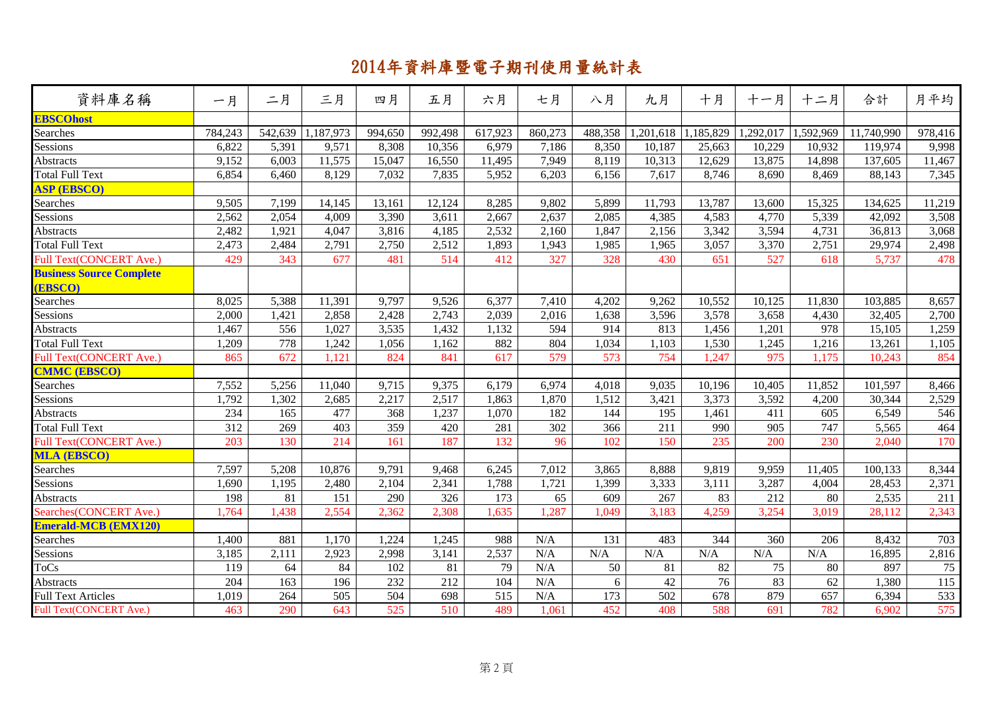| 資料庫名稱                           | 一月      | 二月      | 三月        | 四月      | 五月               | 六月      | 七月      | 八月      | 九月              | 十月        | 十一月       | 十二月              | 合計         | 月平均              |
|---------------------------------|---------|---------|-----------|---------|------------------|---------|---------|---------|-----------------|-----------|-----------|------------------|------------|------------------|
| <b>EBSCOhost</b>                |         |         |           |         |                  |         |         |         |                 |           |           |                  |            |                  |
| Searches                        | 784,243 | 542,639 | 1,187,973 | 994,650 | 992,498          | 617,923 | 860,273 | 488,358 | 1,201,618       | 1,185,829 | 1,292,017 | 1,592,969        | 11,740,990 | 978,416          |
| Sessions                        | 6,822   | 5,391   | 9,571     | 8,308   | 10,356           | 6,979   | 7,186   | 8,350   | 10,187          | 25,663    | 10,229    | 10,932           | 119,974    | 9,998            |
| Abstracts                       | 9,152   | 6,003   | 11,575    | 15,047  | 16,550           | 11,495  | 7,949   | 8,119   | 10,313          | 12,629    | 13,875    | 14,898           | 137,605    | 11,467           |
| <b>Total Full Text</b>          | 6,854   | 6,460   | 8,129     | 7,032   | 7,835            | 5,952   | 6,203   | 6,156   | 7,617           | 8,746     | 8,690     | 8,469            | 88,143     | 7,345            |
| <b>ASP (EBSCO)</b>              |         |         |           |         |                  |         |         |         |                 |           |           |                  |            |                  |
| Searches                        | 9,505   | 7,199   | 14,145    | 13,161  | 12,124           | 8,285   | 9,802   | 5,899   | 11,793          | 13,787    | 13,600    | 15,325           | 134,625    | 11,219           |
| Sessions                        | 2,562   | 2,054   | 4,009     | 3,390   | 3,611            | 2,667   | 2,637   | 2,085   | 4,385           | 4,583     | 4,770     | 5,339            | 42,092     | 3,508            |
| Abstracts                       | 2,482   | 1,921   | 4,047     | 3,816   | 4,185            | 2,532   | 2,160   | 1,847   | 2,156           | 3,342     | 3,594     | 4,731            | 36,813     | 3,068            |
| <b>Total Full Text</b>          | 2,473   | 2,484   | 2,791     | 2,750   | 2,512            | 1,893   | 1,943   | 1,985   | 1,965           | 3,057     | 3,370     | 2,751            | 29,974     | 2,498            |
| Full Text(CONCERT Ave.)         | 429     | 343     | 677       | 481     | 514              | 412     | 327     | 328     | 430             | 651       | 527       | 618              | 5,737      | 478              |
| <b>Business Source Complete</b> |         |         |           |         |                  |         |         |         |                 |           |           |                  |            |                  |
| (EBSCO)                         |         |         |           |         |                  |         |         |         |                 |           |           |                  |            |                  |
| Searches                        | 8,025   | 5,388   | 11,391    | 9,797   | 9,526            | 6,377   | 7,410   | 4,202   | 9,262           | 10,552    | 10,125    | 11,830           | 103,885    | 8,657            |
| Sessions                        | 2,000   | 1,421   | 2,858     | 2,428   | 2,743            | 2,039   | 2,016   | 1,638   | 3,596           | 3,578     | 3,658     | 4,430            | 32,405     | 2,700            |
| Abstracts                       | 1,467   | 556     | 1,027     | 3,535   | 1,432            | 1,132   | 594     | 914     | 813             | 1,456     | 1,201     | 978              | 15,105     | 1,259            |
| <b>Total Full Text</b>          | 1,209   | 778     | 1,242     | 1,056   | 1,162            | 882     | 804     | 1,034   | 1,103           | 1,530     | 1,245     | 1,216            | 13,261     | 1,105            |
| Full Text(CONCERT Ave.)         | 865     | 672     | 1,121     | 824     | 841              | 617     | 579     | 573     | 754             | 1,247     | 975       | 1,175            | 10,243     | 854              |
| <b>CMMC (EBSCO)</b>             |         |         |           |         |                  |         |         |         |                 |           |           |                  |            |                  |
| Searches                        | 7,552   | 5,256   | 11,040    | 9,715   | 9,375            | 6,179   | 6,974   | 4,018   | 9,035           | 10,196    | 10,405    | 11,852           | 101,597    | 8,466            |
| Sessions                        | 1,792   | 1,302   | 2,685     | 2,217   | 2,517            | 1,863   | 1,870   | 1,512   | 3,421           | 3,373     | 3,592     | 4,200            | 30,344     | 2,529            |
| Abstracts                       | 234     | 165     | 477       | 368     | 1,237            | 1,070   | 182     | 144     | 195             | 1,461     | 411       | 605              | 6,549      | 546              |
| <b>Total Full Text</b>          | 312     | 269     | 403       | 359     | 420              | 281     | 302     | 366     | 211             | 990       | 905       | 747              | 5,565      | 464              |
| <b>Full Text(CONCERT Ave.)</b>  | 203     | 130     | 214       | 161     | 187              | 132     | 96      | 102     | 150             | 235       | 200       | 230              | 2,040      | 170              |
| <b>MLA (EBSCO)</b>              |         |         |           |         |                  |         |         |         |                 |           |           |                  |            |                  |
| Searches                        | 7,597   | 5,208   | 10,876    | 9,791   | 9,468            | 6,245   | 7,012   | 3,865   | 8,888           | 9,819     | 9,959     | 11,405           | 100,133    | 8,344            |
| Sessions                        | 1,690   | 1,195   | 2,480     | 2,104   | 2,341            | 1,788   | 1,721   | 1,399   | 3,333           | 3,111     | 3,287     | 4,004            | 28,453     | 2,371            |
| Abstracts                       | 198     | 81      | 151       | 290     | 326              | 173     | 65      | 609     | 267             | 83        | 212       | 80               | 2,535      | 211              |
| Searches(CONCERT Ave.)          | 1,764   | 1,438   | 2,554     | 2,362   | 2,308            | 1,635   | 1,287   | 1,049   | 3,183           | 4,259     | 3,254     | 3,019            | 28,112     | 2,343            |
| <b>Emerald-MCB (EMX120)</b>     |         |         |           |         |                  |         |         |         |                 |           |           |                  |            |                  |
| Searches                        | 1,400   | 881     | 1,170     | 1,224   | 1,245            | 988     | N/A     | 131     | 483             | 344       | 360       | $\overline{206}$ | 8,432      | 703              |
| Sessions                        | 3,185   | 2,111   | 2,923     | 2,998   | 3,141            | 2,537   | N/A     | N/A     | N/A             | N/A       | N/A       | $\rm N/A$        | 16,895     | 2,816            |
| <b>ToCs</b>                     | 119     | 64      | 84        | 102     | 81               | 79      | N/A     | 50      | 81              | 82        | 75        | 80               | 897        | 75               |
| Abstracts                       | 204     | 163     | 196       | 232     | $\overline{212}$ | 104     | N/A     | 6       | $\overline{42}$ | 76        | 83        | 62               | 1,380      | $\overline{115}$ |
| <b>Full Text Articles</b>       | 1,019   | 264     | 505       | 504     | 698              | 515     | N/A     | 173     | 502             | 678       | 879       | 657              | 6,394      | 533              |
| Full Text(CONCERT Ave.)         | 463     | 290     | 643       | 525     | 510              | 489     | 1,061   | 452     | 408             | 588       | 691       | 782              | 6,902      | 575              |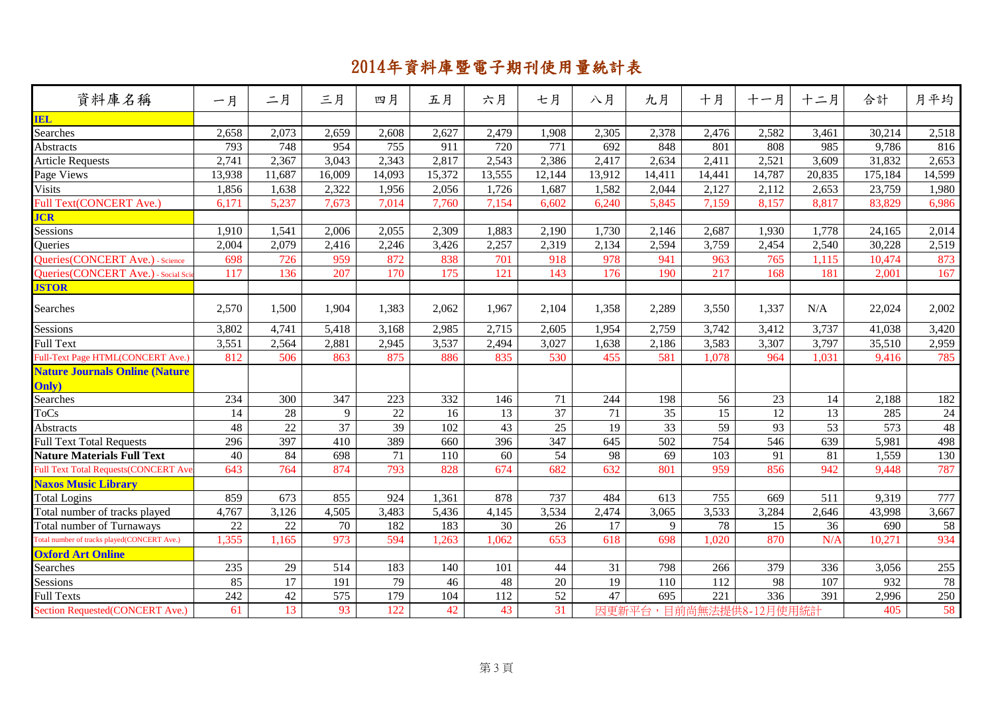| 資料庫名稱                                       | 一月     | 二月              | 三月              | 四月              | 五月     | 六月     | 七月              | 八月              | 九月              | 十月               | 十一月             | 十二月    | 合計      | 月平均    |
|---------------------------------------------|--------|-----------------|-----------------|-----------------|--------|--------|-----------------|-----------------|-----------------|------------------|-----------------|--------|---------|--------|
| <b>IEL</b>                                  |        |                 |                 |                 |        |        |                 |                 |                 |                  |                 |        |         |        |
| Searches                                    | 2,658  | 2,073           | 2,659           | 2,608           | 2,627  | 2,479  | 1,908           | 2,305           | 2,378           | 2,476            | 2,582           | 3,461  | 30,214  | 2,518  |
| <b>Abstracts</b>                            | 793    | 748             | 954             | 755             | 911    | 720    | 771             | 692             | 848             | 801              | 808             | 985    | 9,786   | 816    |
| <b>Article Requests</b>                     | 2,741  | 2,367           | 3,043           | 2,343           | 2,817  | 2,543  | 2,386           | 2,417           | 2,634           | 2,411            | 2,521           | 3,609  | 31,832  | 2,653  |
| Page Views                                  | 13,938 | 11,687          | 16,009          | 14,093          | 15,372 | 13,555 | 12,144          | 13,912          | 14,411          | 14,441           | 14,787          | 20,835 | 175,184 | 14,599 |
| Visits                                      | 1,856  | 1,638           | 2,322           | 1,956           | 2,056  | 1,726  | 1,687           | 1,582           | 2,044           | 2,127            | 2,112           | 2,653  | 23,759  | 1,980  |
| <b>Full Text(CONCERT Ave.)</b>              | 6,171  | 5,237           | 7,673           | 7,014           | 7,760  | 7,154  | 6,602           | 6,240           | 5,845           | 7,159            | 8,157           | 8,817  | 83,829  | 6,986  |
| <b>JCR</b>                                  |        |                 |                 |                 |        |        |                 |                 |                 |                  |                 |        |         |        |
| Sessions                                    | 1,910  | 1,541           | 2,006           | 2,055           | 2,309  | 1,883  | 2,190           | 1,730           | 2,146           | 2,687            | 1,930           | 1,778  | 24,165  | 2,014  |
| Queries                                     | 2,004  | 2,079           | 2,416           | 2,246           | 3,426  | 2,257  | 2,319           | 2,134           | 2,594           | 3,759            | 2,454           | 2,540  | 30,228  | 2,519  |
| Queries(CONCERT Ave.) - Science             | 698    | 726             | 959             | 872             | 838    | 701    | 918             | 978             | 941             | 963              | 765             | 1,115  | 10,474  | 873    |
| Queries (CONCERT Ave.) - Social Sc          | 117    | 136             | 207             | 170             | 175    | 121    | 143             | 176             | 190             | 217              | 168             | 181    | 2,001   | 167    |
| <b>JSTOR</b>                                |        |                 |                 |                 |        |        |                 |                 |                 |                  |                 |        |         |        |
| Searches                                    | 2,570  | 1,500           | 1,904           | 1,383           | 2,062  | 1,967  | 2,104           | 1,358           | 2,289           | 3,550            | 1,337           | N/A    | 22,024  | 2,002  |
| Sessions                                    | 3,802  | 4,741           | 5,418           | 3,168           | 2,985  | 2,715  | 2,605           | 1,954           | 2,759           | 3,742            | 3,412           | 3,737  | 41,038  | 3,420  |
| Full Text                                   | 3,551  | 2,564           | 2,881           | 2,945           | 3,537  | 2,494  | 3,027           | 1,638           | 2,186           | 3,583            | 3,307           | 3,797  | 35,510  | 2,959  |
| Full-Text Page HTML(CONCERT Ave.)           | 812    | 506             | 863             | 875             | 886    | 835    | 530             | 455             | 581             | 1,078            | 964             | 1,031  | 9,416   | 785    |
| <b>Nature Journals Online (Nature</b>       |        |                 |                 |                 |        |        |                 |                 |                 |                  |                 |        |         |        |
| Only)                                       |        |                 |                 |                 |        |        |                 |                 |                 |                  |                 |        |         |        |
| Searches                                    | 234    | 300             | 347             | 223             | 332    | 146    | 71              | 244             | 198             | 56               | 23              | 14     | 2,188   | 182    |
| <b>ToCs</b>                                 | 14     | $\overline{28}$ | 9               | $\overline{22}$ | 16     | 13     | $\overline{37}$ | $\overline{71}$ | $\overline{35}$ | $\overline{15}$  | 12              | 13     | 285     | 24     |
| Abstracts                                   | 48     | 22              | $\overline{37}$ | 39              | 102    | 43     | 25              | 19              | 33              | $\overline{59}$  | $\overline{93}$ | 53     | 573     | 48     |
| <b>Full Text Total Requests</b>             | 296    | 397             | 410             | 389             | 660    | 396    | 347             | 645             | 502             | 754              | 546             | 639    | 5,981   | 498    |
| <b>Nature Materials Full Text</b>           | 40     | 84              | 698             | 71              | 110    | 60     | 54              | 98              | 69              | 103              | 91              | 81     | 1,559   | 130    |
| Full Text Total Requests(CONCERT Ave        | 643    | 764             | 874             | 793             | 828    | 674    | 682             | 632             | 801             | 959              | 856             | 942    | 9,448   | 787    |
| <b>Naxos Music Library</b>                  |        |                 |                 |                 |        |        |                 |                 |                 |                  |                 |        |         |        |
| <b>Total Logins</b>                         | 859    | 673             | 855             | 924             | 1,361  | 878    | 737             | 484             | 613             | 755              | 669             | 511    | 9,319   | 777    |
| Total number of tracks played               | 4,767  | 3,126           | 4,505           | 3,483           | 5,436  | 4,145  | 3,534           | 2,474           | 3,065           | 3,533            | 3,284           | 2,646  | 43,998  | 3,667  |
| <b>Total number of Turnaways</b>            | 22     | 22              | 70              | 182             | 183    | 30     | 26              | 17              | 9               | 78               | 15              | 36     | 690     | 58     |
| Fotal number of tracks played(CONCERT Ave.) | 1,355  | 1,165           | 973             | 594             | 1,263  | 1,062  | 653             | 618             | 698             | 1,020            | 870             | N/A    | 10,271  | 934    |
| <b>Oxford Art Online</b>                    |        |                 |                 |                 |        |        |                 |                 |                 |                  |                 |        |         |        |
| Searches                                    | 235    | 29              | 514             | 183             | 140    | 101    | $44$            | 31              | 798             | 266              | 379             | 336    | 3,056   | 255    |
| Sessions                                    | 85     | 17              | 191             | 79              | 46     | 48     | $20\,$          | 19              | 110             | 112              | 98              | 107    | 932     | 78     |
| <b>Full Texts</b>                           | 242    | 42              | 575             | 179             | 104    | 112    | $\overline{52}$ | 47              | 695             | $\overline{221}$ | 336             | 391    | 2,996   | 250    |
| Section Requested(CONCERT Ave.)             | 61     | 13              | 93              | 122             | 42     | 43     | 31              | 因更新平台           |                 | 目前尚無法提供8-        | 12月使用統計         |        | 405     | 58     |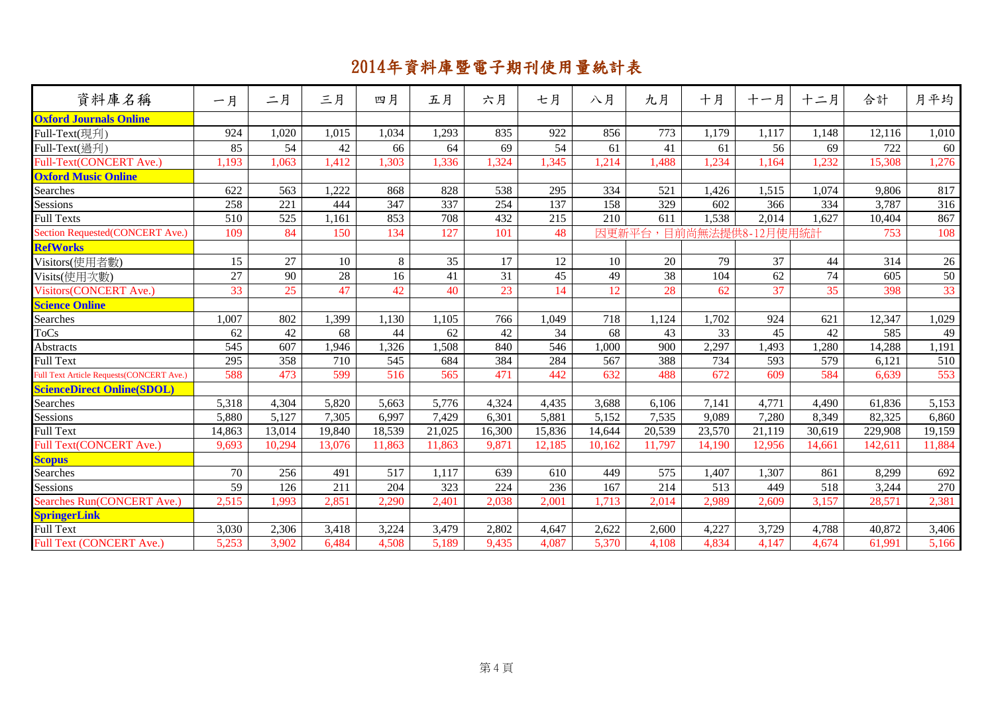| 資料庫名稱                                           | 一月     | 二月               | 三月     | 四月     | 五月     | 六月     | 七月     | 八月     | 九月     | 十月        | 十一月     | 十二月    | 合計      | 月平均    |
|-------------------------------------------------|--------|------------------|--------|--------|--------|--------|--------|--------|--------|-----------|---------|--------|---------|--------|
| <b>Oxford Journals Online</b>                   |        |                  |        |        |        |        |        |        |        |           |         |        |         |        |
| Full-Text(現刋)                                   | 924    | 1,020            | 1,015  | 1,034  | 1,293  | 835    | 922    | 856    | 773    | 1,179     | 1,117   | 1,148  | 12,116  | 1,010  |
| Full-Text(過刊)                                   | 85     | 54               | 42     | 66     | 64     | 69     | 54     | 61     | 41     | 61        | 56      | 69     | 722     | 60     |
| Full-Text(CONCERT Ave.)                         | 1,193  | 1,063            | 1,412  | 1,303  | 1,336  | 1,324  | 1,345  | 1,214  | 1,488  | 1,234     | 1,164   | 1,232  | 15,308  | 1,276  |
| <b>Oxford Music Online</b>                      |        |                  |        |        |        |        |        |        |        |           |         |        |         |        |
| Searches                                        | 622    | 563              | 1,222  | 868    | 828    | 538    | 295    | 334    | 521    | 1,426     | 1,515   | 1,074  | 9,806   | 817    |
| Sessions                                        | 258    | 221              | 444    | 347    | 337    | 254    | 137    | 158    | 329    | 602       | 366     | 334    | 3,787   | 316    |
| <b>Full Texts</b>                               | 510    | $\overline{525}$ | 1,161  | 853    | 708    | 432    | 215    | 210    | 611    | 1,538     | 2,014   | 1,627  | 10,404  | 867    |
| Section Requested(CONCERT Ave.)                 | 109    | 84               | 150    | 134    | 127    | 101    | 48     | 因更新平台  |        | 目前尚無法提供8- | 12月使用統計 |        | 753     | 108    |
| <b>RefWorks</b>                                 |        |                  |        |        |        |        |        |        |        |           |         |        |         |        |
| Visitors(使用者數)                                  | 15     | 27               | 10     | 8      | 35     | 17     | 12     | 10     | 20     | 79        | 37      | 44     | 314     | 26     |
| Visits(使用次數)                                    | 27     | 90               | 28     | 16     | 41     | 31     | 45     | 49     | 38     | 104       | 62      | 74     | 605     | 50     |
| Visitors(CONCERT Ave.)                          | 33     | 25               | 47     | 42     | 40     | 23     | 14     | 12     | 28     | 62        | 37      | 35     | 398     | 33     |
| <b>Science Online</b>                           |        |                  |        |        |        |        |        |        |        |           |         |        |         |        |
| Searches                                        | 1,007  | 802              | 1,399  | 1.130  | 1,105  | 766    | 1,049  | 718    | 1.124  | 1,702     | 924     | 621    | 12,347  | 1,029  |
| <b>ToCs</b>                                     | 62     | 42               | 68     | 44     | 62     | 42     | 34     | 68     | 43     | 33        | 45      | 42     | 585     | 49     |
| Abstracts                                       | 545    | 607              | 1,946  | 1,326  | 1,508  | 840    | 546    | 1,000  | 900    | 2,297     | 1,493   | 1,280  | 14,288  | 1,191  |
| Full Text                                       | 295    | 358              | 710    | 545    | 684    | 384    | 284    | 567    | 388    | 734       | 593     | 579    | 6.121   | 510    |
| <b>Full Text Article Requests(CONCERT Ave.)</b> | 588    | 473              | 599    | 516    | 565    | 471    | 442    | 632    | 488    | 672       | 609     | 584    | 6.639   | 553    |
| <b>ScienceDirect Online(SDOL)</b>               |        |                  |        |        |        |        |        |        |        |           |         |        |         |        |
| Searches                                        | 5,318  | 4,304            | 5,820  | 5,663  | 5,776  | 4,324  | 4,435  | 3,688  | 6,106  | 7,141     | 4,771   | 4,490  | 61,836  | 5,153  |
| Sessions                                        | 5,880  | 5,127            | 7,305  | 6,997  | 7,429  | 6,301  | 5,881  | 5,152  | 7,535  | 9,089     | 7,280   | 8,349  | 82,325  | 6,860  |
| <b>Full Text</b>                                | 14,863 | 13,014           | 19,840 | 18,539 | 21,025 | 16,300 | 15,836 | 14,644 | 20,539 | 23,570    | 21,119  | 30,619 | 229,908 | 19,159 |
| Full Text(CONCERT Ave.)                         | 9,693  | 10,294           | 13,076 | 11,863 | 11,863 | 9,871  | 12,185 | 10,162 | 11,797 | 14,190    | 12,956  | 14,661 | 142,611 | 11,884 |
| <b>Scopus</b>                                   |        |                  |        |        |        |        |        |        |        |           |         |        |         |        |
| Searches                                        | 70     | 256              | 491    | 517    | 1,117  | 639    | 610    | 449    | 575    | 1,407     | 1,307   | 861    | 8,299   | 692    |
| Sessions                                        | 59     | 126              | 211    | 204    | 323    | 224    | 236    | 167    | 214    | 513       | 449     | 518    | 3,244   | 270    |
| Searches Run(CONCERT Ave.)                      | 2,515  | 1,993            | 2,851  | 2,290  | 2,401  | 2,038  | 2,001  | 1,713  | 2,014  | 2,989     | 2,609   | 3,157  | 28,571  | 2,381  |
| <b>SpringerLink</b>                             |        |                  |        |        |        |        |        |        |        |           |         |        |         |        |
| <b>Full Text</b>                                | 3,030  | 2,306            | 3,418  | 3,224  | 3,479  | 2,802  | 4,647  | 2,622  | 2,600  | 4,227     | 3,729   | 4,788  | 40,872  | 3,406  |
| Full Text (CONCERT Ave.)                        | 5,253  | 3,902            | 6,484  | 4,508  | 5,189  | 9,435  | 4,087  | 5,370  | 4,108  | 4,834     | 4,147   | 4,674  | 61,991  | 5,166  |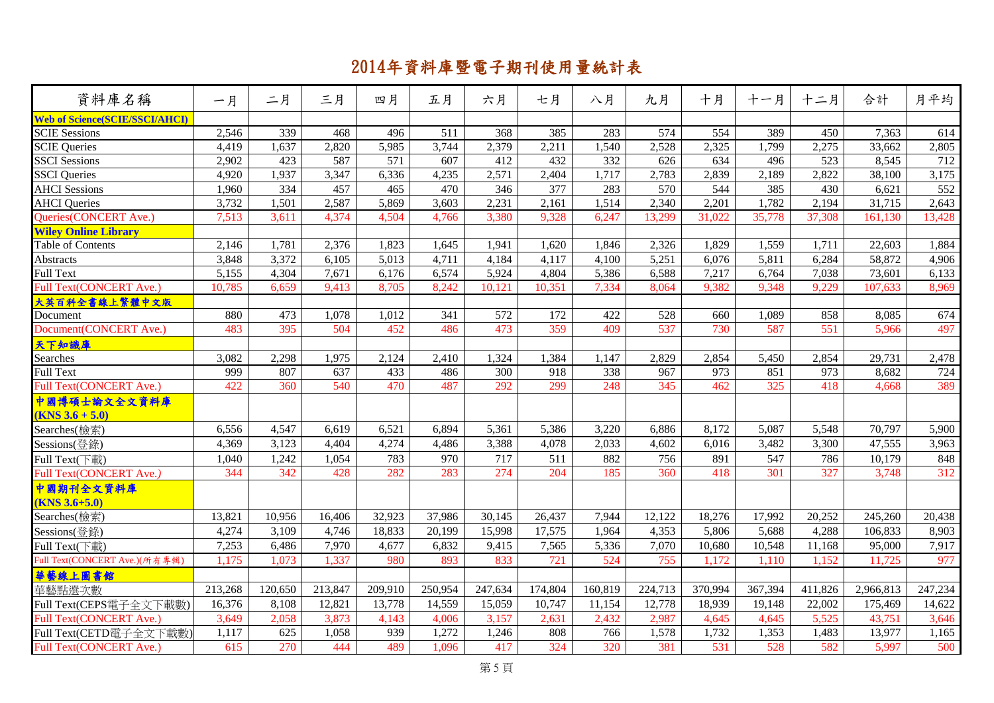| 資料庫名稱                                              | 一月      | 二月      | 三月      | 四月               | 五月      | 六月      | 七月      | 八月      | 九月      | 十月      | 十一月     | 十二月              | 合計        | 月平均     |
|----------------------------------------------------|---------|---------|---------|------------------|---------|---------|---------|---------|---------|---------|---------|------------------|-----------|---------|
| <b>Web of Science(SCIE/SSCI/AHCI)</b>              |         |         |         |                  |         |         |         |         |         |         |         |                  |           |         |
| <b>SCIE Sessions</b>                               | 2,546   | 339     | 468     | 496              | 511     | 368     | 385     | 283     | 574     | 554     | 389     | 450              | 7,363     | 614     |
| <b>SCIE Queries</b>                                | 4,419   | 1,637   | 2,820   | 5,985            | 3,744   | 2,379   | 2,211   | 1,540   | 2,528   | 2,325   | 1,799   | 2,275            | 33,662    | 2,805   |
| <b>SSCI</b> Sessions                               | 2,902   | 423     | 587     | $\overline{571}$ | 607     | 412     | 432     | 332     | 626     | 634     | 496     | $\overline{523}$ | 8,545     | 712     |
| <b>SSCI</b> Queries                                | 4,920   | 1,937   | 3,347   | 6,336            | 4,235   | 2,571   | 2,404   | 1,717   | 2,783   | 2,839   | 2,189   | 2,822            | 38,100    | 3,175   |
| <b>AHCI</b> Sessions                               | 1,960   | 334     | 457     | 465              | 470     | 346     | 377     | 283     | 570     | 544     | 385     | 430              | 6,621     | 552     |
| <b>AHCI</b> Queries                                | 3,732   | 1,501   | 2,587   | 5,869            | 3,603   | 2,231   | 2,161   | 1,514   | 2,340   | 2,201   | 1,782   | 2,194            | 31,715    | 2,643   |
| Queries(CONCERT Ave.)                              | 7,513   | 3,611   | 4,374   | 4,504            | 4,766   | 3,380   | 9,328   | 6,247   | 13,299  | 31,022  | 35,778  | 37,308           | 161,130   | 13,428  |
| <b>Wiley Online Library</b>                        |         |         |         |                  |         |         |         |         |         |         |         |                  |           |         |
| Table of Contents                                  | 2,146   | 1,781   | 2,376   | 1,823            | 1,645   | 1,941   | 1,620   | 1,846   | 2,326   | 1,829   | 1,559   | 1,711            | 22,603    | 1,884   |
| <b>Abstracts</b>                                   | 3,848   | 3,372   | 6,105   | 5,013            | 4,711   | 4,184   | 4,117   | 4,100   | 5,251   | 6,076   | 5,811   | 6,284            | 58,872    | 4,906   |
| <b>Full Text</b>                                   | 5,155   | 4,304   | 7,671   | 6,176            | 6,574   | 5,924   | 4,804   | 5,386   | 6,588   | 7,217   | 6,764   | 7,038            | 73,601    | 6,133   |
| <b>Full Text(CONCERT Ave.)</b>                     | 10,785  | 6,659   | 9,413   | 8,705            | 8,242   | 10,121  | 10,351  | 7,334   | 8,064   | 9,382   | 9,348   | 9,229            | 107,633   | 8,969   |
| 大英百科全書線上繁體中文版                                      |         |         |         |                  |         |         |         |         |         |         |         |                  |           |         |
| Document                                           | 880     | 473     | 1,078   | 1,012            | 341     | 572     | 172     | 422     | 528     | 660     | 1,089   | 858              | 8,085     | 674     |
| Document(CONCERT Ave.)                             | 483     | 395     | 504     | 452              | 486     | 473     | 359     | 409     | 537     | 730     | 587     | 551              | 5,966     | 497     |
| 天下知識庫                                              |         |         |         |                  |         |         |         |         |         |         |         |                  |           |         |
| <b>Searches</b>                                    | 3,082   | 2,298   | 1,975   | 2,124            | 2,410   | 1,324   | 1,384   | 1,147   | 2,829   | 2,854   | 5,450   | 2,854            | 29,731    | 2,478   |
| <b>Full Text</b>                                   | 999     | 807     | 637     | 433              | 486     | 300     | 918     | 338     | 967     | 973     | 851     | 973              | 8,682     | 724     |
| <b>Full Text(CONCERT Ave.)</b>                     | 422     | 360     | 540     | 470              | 487     | 292     | 299     | 248     | 345     | 462     | 325     | 418              | 4,668     | 389     |
| 中國博碩士論文全文資料庫                                       |         |         |         |                  |         |         |         |         |         |         |         |                  |           |         |
| $(KNS 3.6 + 5.0)$                                  |         |         |         |                  |         |         |         |         |         |         |         |                  |           |         |
| Searches(檢索)                                       | 6,556   | 4,547   | 6,619   | 6,521            | 6,894   | 5,361   | 5,386   | 3,220   | 6,886   | 8,172   | 5,087   | 5,548            | 70,797    | 5,900   |
| Sessions(登錄)                                       | 4,369   | 3,123   | 4,404   | 4,274            | 4,486   | 3,388   | 4,078   | 2,033   | 4,602   | 6,016   | 3,482   | 3,300            | 47,555    | 3,963   |
| $\overline{\text{Full Text}}(\overline{\text{F}})$ | 1,040   | 1,242   | 1,054   | 783              | 970     | 717     | 511     | 882     | 756     | 891     | 547     | 786              | 10,179    | 848     |
| Full Text(CONCERT Ave.)                            | 344     | 342     | 428     | 282              | 283     | 274     | 204     | 185     | 360     | 418     | 301     | 327              | 3,748     | 312     |
| 中國期刊全文資料庫                                          |         |         |         |                  |         |         |         |         |         |         |         |                  |           |         |
| $(KNS 3.6 + 5.0)$                                  |         |         |         |                  |         |         |         |         |         |         |         |                  |           |         |
| Searches(檢索)                                       | 13,821  | 10,956  | 16,406  | 32,923           | 37,986  | 30,145  | 26,437  | 7,944   | 12,122  | 18,276  | 17,992  | 20,252           | 245,260   | 20,438  |
| Sessions(登錄)                                       | 4,274   | 3,109   | 4,746   | 18,833           | 20,199  | 15,998  | 17,575  | 1,964   | 4,353   | 5,806   | 5,688   | 4,288            | 106,833   | 8,903   |
| Full Text(下載)                                      | 7,253   | 6,486   | 7,970   | 4,677            | 6,832   | 9,415   | 7,565   | 5,336   | 7,070   | 10,680  | 10,548  | 11,168           | 95,000    | 7,917   |
| Full Text(CONCERT Ave.)(所有專輯)                      | 1,175   | 1,073   | 1,337   | 980              | 893     | 833     | 721     | 524     | 755     | 1,172   | 1,110   | 1,152            | 11,725    | 977     |
| 華藝線上圖書館                                            |         |         |         |                  |         |         |         |         |         |         |         |                  |           |         |
| 華藝點選次數                                             | 213,268 | 120,650 | 213,847 | 209,910          | 250,954 | 247,634 | 174,804 | 160,819 | 224,713 | 370,994 | 367,394 | 411,826          | 2,966,813 | 247,234 |
| Full Text(CEPS電子全文下載數)                             | 16,376  | 8,108   | 12,821  | 13,778           | 14,559  | 15,059  | 10,747  | 11,154  | 12,778  | 18,939  | 19,148  | 22,002           | 175,469   | 14,622  |
| Full Text(CONCERT Ave.)                            | 3,649   | 2,058   | 3,873   | 4,143            | 4,006   | 3,157   | 2,631   | 2,432   | 2,987   | 4,645   | 4,645   | 5,525            | 43,751    | 3,646   |
| Full Text(CETD電子全文下載數)                             | 1,117   | 625     | 1,058   | 939              | 1,272   | 1,246   | 808     | 766     | 1,578   | 1,732   | 1,353   | 1,483            | 13,977    | 1,165   |
| Full Text(CONCERT Ave.)                            | 615     | 270     | 444     | 489              | 1,096   | 417     | 324     | 320     | 381     | 531     | 528     | 582              | 5,997     | 500     |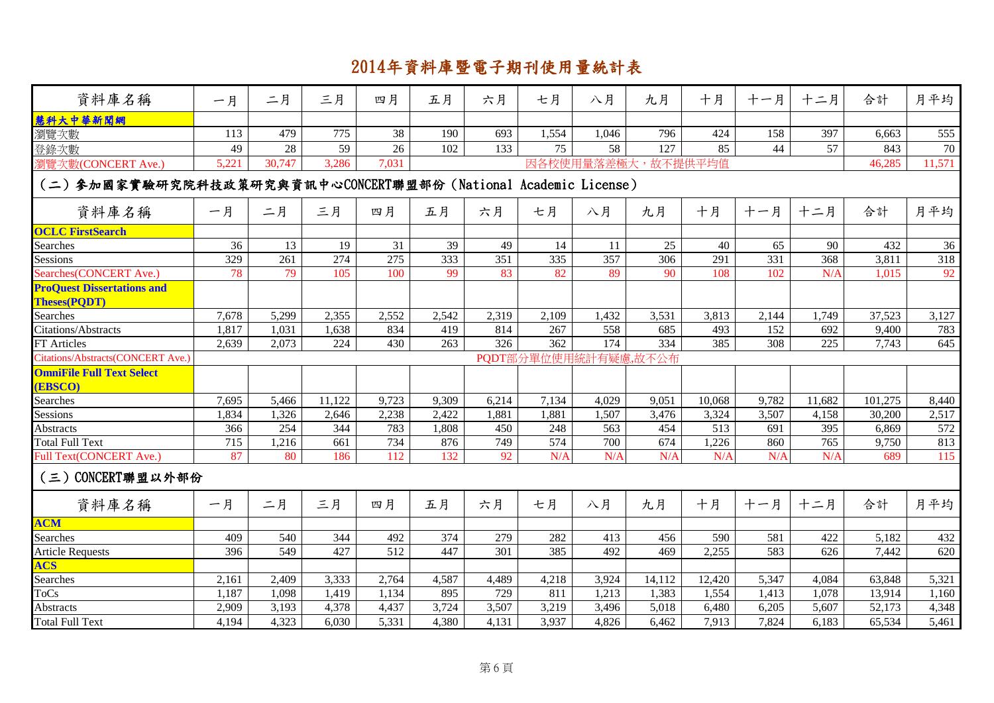| 資料庫名稱                                                           | 一月    | 二月     | 三月     | 四月               | 五月               | 六月              | 七月               | 八月              | 九月       | 十月      | 十一月              | 十二月    | 合計      | 月平均              |
|-----------------------------------------------------------------|-------|--------|--------|------------------|------------------|-----------------|------------------|-----------------|----------|---------|------------------|--------|---------|------------------|
| 慧科大中華新聞網                                                        |       |        |        |                  |                  |                 |                  |                 |          |         |                  |        |         |                  |
| 瀏覽次數                                                            | 113   | 479    | 775    | 38               | 190              | 693             | 1,554            | 1,046           | 796      | 424     | 158              | 397    | 6,663   | 555              |
| 登錄次數                                                            | 49    | 28     | 59     | 26               | 102              | 133             | 75               | 58              | 127      | 85      | 44               | 57     | 843     | $70\,$           |
| 劉覽次數(CONCERT Ave.)                                              | 5,221 | 30,747 | 3,286  | 7,031            |                  |                 |                  | 因各校使用量落差極大      |          | 故不提供平均值 |                  |        | 46,285  | 11,571           |
| (二) 参加國家實驗研究院科技政策研究與資訊中心CONCERT聯盟部份 (National Academic License) |       |        |        |                  |                  |                 |                  |                 |          |         |                  |        |         |                  |
| 資料庫名稱                                                           | 一月    | 二月     | 三月     | 四月               | 五月               | 六月              | 七月               | 八月              | 九月       | 十月      | 十一月              | 十二月    | 合計      | 月平均              |
| <b>OCLC FirstSearch</b>                                         |       |        |        |                  |                  |                 |                  |                 |          |         |                  |        |         |                  |
| Searches                                                        | 36    | 13     | 19     | 31               | 39               | 49              | 14               | 11              | 25       | 40      | 65               | 90     | 432     | 36               |
| Sessions                                                        | 329   | 261    | 274    | $\overline{275}$ | 333              | 351             | 335              | $\frac{1}{357}$ | 306      | 291     | 331              | 368    | 3,811   | 318              |
| Searches(CONCERT Ave.)                                          | 78    | 79     | 105    | 100              | 99               | 83              | 82               | 89              | 90       | 108     | 102              | N/A    | 1,015   | 92               |
| <b>ProQuest Dissertations and</b><br><b>Theses(PODT)</b>        |       |        |        |                  |                  |                 |                  |                 |          |         |                  |        |         |                  |
| Searches                                                        | 7,678 | 5,299  | 2,355  | 2,552            | 2,542            | 2,319           | 2,109            | 1,432           | 3,531    | 3,813   | 2,144            | 1,749  | 37,523  | 3,127            |
| Citations/Abstracts                                             | 1,817 | 1,031  | 1,638  | 834              | 419              | 814             | 267              | 558             | 685      | 493     | 152              | 692    | 9,400   | 783              |
| FT Articles                                                     | 2,639 | 2,073  | 224    | 430              | $\overline{263}$ | 326             | $\overline{362}$ | 174             | 334      | 385     | $\overline{308}$ | 225    | 7,743   | 645              |
| Citations/Abstracts(CONCERT Ave.)                               |       |        |        |                  |                  |                 | PQDT部分單位使用統      |                 | 有疑慮,故不公布 |         |                  |        |         |                  |
| <b>OmniFile Full Text Select</b>                                |       |        |        |                  |                  |                 |                  |                 |          |         |                  |        |         |                  |
| <b>(EBSCO)</b>                                                  |       |        |        |                  |                  |                 |                  |                 |          |         |                  |        |         |                  |
| Searches                                                        | 7,695 | 5,466  | 11,122 | 9,723            | 9,309            | 6,214           | 7,134            | 4,029           | 9,051    | 10,068  | 9,782            | 11,682 | 101,275 | 8,440            |
| Sessions                                                        | 1,834 | 1,326  | 2,646  | 2,238            | 2,422            | 1,881           | 1,881            | 1,507           | 3,476    | 3,324   | 3,507            | 4,158  | 30,200  | 2,517            |
| Abstracts                                                       | 366   | 254    | 344    | 783              | 1,808            | 450             | 248              | 563             | 454      | 513     | 691              | 395    | 6,869   | 572              |
| <b>Total Full Text</b>                                          | 715   | 1,216  | 661    | 734              | 876              | 749             | 574              | 700             | 674      | 1,226   | 860              | 765    | 9,750   | 813              |
| Full Text(CONCERT Ave.)                                         | 87    | 80     | 186    | 112              | 132              | $\overline{92}$ | N/A              | N/A             | N/A      | N/A     | N/A              | N/A    | 689     | $\overline{115}$ |
| (三) CONCERT聯盟以外部份                                               |       |        |        |                  |                  |                 |                  |                 |          |         |                  |        |         |                  |
| 資料庫名稱                                                           | 一月    | 二月     | 三月     | 四月               | 五月               | 六月              | 七月               | 八月              | 九月       | 十月      | 十一月              | 十二月    | 合計      | 月平均              |
| <b>ACM</b>                                                      |       |        |        |                  |                  |                 |                  |                 |          |         |                  |        |         |                  |
| Searches                                                        | 409   | 540    | 344    | 492              | 374              | 279             | 282              | 413             | 456      | 590     | 581              | 422    | 5,182   | 432              |
| <b>Article Requests</b>                                         | 396   | 549    | 427    | 512              | 447              | 301             | 385              | 492             | 469      | 2,255   | 583              | 626    | 7,442   | 620              |
| <b>ACS</b>                                                      |       |        |        |                  |                  |                 |                  |                 |          |         |                  |        |         |                  |
| Searches                                                        | 2,161 | 2,409  | 3,333  | 2,764            | 4,587            | 4,489           | 4,218            | 3,924           | 14,112   | 12,420  | 5,347            | 4,084  | 63,848  | 5,321            |
| ToCs                                                            | 1,187 | 1,098  | 1,419  | 1,134            | 895              | 729             | 811              | 1,213           | 1,383    | 1,554   | 1,413            | 1,078  | 13,914  | 1,160            |
| Abstracts                                                       | 2,909 | 3,193  | 4,378  | 4,437            | 3,724            | 3,507           | 3,219            | 3,496           | 5,018    | 6,480   | 6,205            | 5,607  | 52,173  | 4,348            |
| <b>Total Full Text</b>                                          | 4,194 | 4,323  | 6,030  | 5,331            | 4,380            | 4,131           | 3,937            | 4,826           | 6,462    | 7,913   | 7,824            | 6,183  | 65,534  | 5,461            |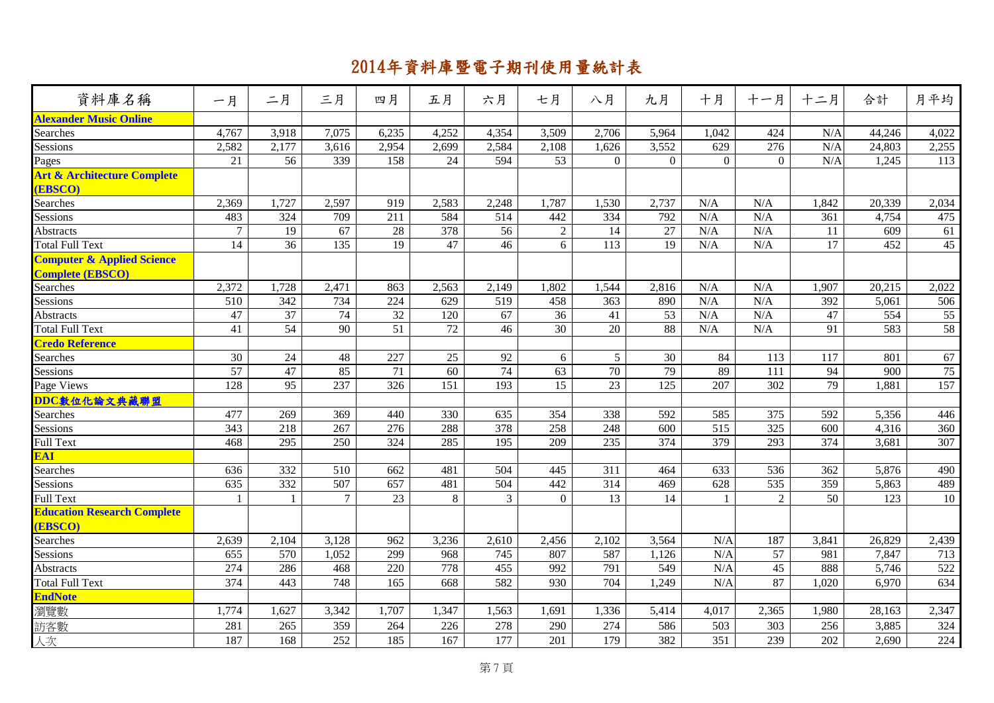| 資料庫名稱                                  | 一月             | 二月               | 三月     | 四月               | 五月              | 六月               | 七月                 | 八月             | 九月           | 十月               | 十一月             | 十二月   | 合計     | 月平均   |
|----------------------------------------|----------------|------------------|--------|------------------|-----------------|------------------|--------------------|----------------|--------------|------------------|-----------------|-------|--------|-------|
| <b>Alexander Music Online</b>          |                |                  |        |                  |                 |                  |                    |                |              |                  |                 |       |        |       |
| Searches                               | 4,767          | 3,918            | 7,075  | 6,235            | 4,252           | 4,354            | 3,509              | 2,706          | 5,964        | 1,042            | 424             | N/A   | 44,246 | 4,022 |
| Sessions                               | 2,582          | 2,177            | 3,616  | 2,954            | 2,699           | 2,584            | $\overline{2,108}$ | 1,626          | 3,552        | 629              | 276             | N/A   | 24,803 | 2,255 |
| Pages                                  | 21             | 56               | 339    | 158              | 24              | 594              | 53                 | $\mathbf{0}$   | $\mathbf{0}$ | $\mathbf{0}$     | $\overline{0}$  | N/A   | 1,245  | 113   |
| <b>Art &amp; Architecture Complete</b> |                |                  |        |                  |                 |                  |                    |                |              |                  |                 |       |        |       |
| <b>(EBSCO)</b>                         |                |                  |        |                  |                 |                  |                    |                |              |                  |                 |       |        |       |
| Searches                               | 2,369          | 1,727            | 2,597  | 919              | 2,583           | 2,248            | 1,787              | 1,530          | 2,737        | N/A              | N/A             | 1,842 | 20,339 | 2,034 |
| Sessions                               | 483            | 324              | 709    | 211              | 584             | 514              | 442                | 334            | 792          | N/A              | N/A             | 361   | 4,754  | 475   |
| Abstracts                              | $\overline{7}$ | 19               | 67     | 28               | 378             | 56               | 2                  | 14             | 27           | N/A              | N/A             | 11    | 609    | 61    |
| <b>Total Full Text</b>                 | 14             | 36               | 135    | 19               | 47              | 46               | 6                  | 113            | 19           | N/A              | N/A             | 17    | 452    | 45    |
| <b>Computer &amp; Applied Science</b>  |                |                  |        |                  |                 |                  |                    |                |              |                  |                 |       |        |       |
| <b>Complete (EBSCO)</b>                |                |                  |        |                  |                 |                  |                    |                |              |                  |                 |       |        |       |
| Searches                               | 2,372          | 1,728            | 2,471  | 863              | 2,563           | 2,149            | 1,802              | 1,544          | 2,816        | N/A              | N/A             | 1,907 | 20,215 | 2,022 |
| Sessions                               | 510            | 342              | 734    | 224              | 629             | 519              | 458                | 363            | 890          | N/A              | N/A             | 392   | 5,061  | 506   |
| Abstracts                              | 47             | 37               | 74     | 32               | 120             | 67               | 36                 | 41             | 53           | N/A              | N/A             | 47    | 554    | 55    |
| <b>Total Full Text</b>                 | 41             | 54               | 90     | 51               | $\overline{72}$ | 46               | $\overline{30}$    | 20             | 88           | N/A              | N/A             | 91    | 583    | 58    |
| <b>Credo Reference</b>                 |                |                  |        |                  |                 |                  |                    |                |              |                  |                 |       |        |       |
| Searches                               | 30             | 24               | 48     | 227              | 25              | 92               | 6                  | 5 <sup>5</sup> | 30           | 84               | 113             | 117   | 801    | 67    |
| Sessions                               | 57             | 47               | 85     | 71               | 60              | 74               | 63                 | 70             | 79           | 89               | 111             | 94    | 900    | 75    |
| Page Views                             | 128            | 95               | 237    | 326              | 151             | 193              | 15                 | 23             | 125          | 207              | 302             | 79    | 1,881  | 157   |
| DDC數位化論文典藏聯盟                           |                |                  |        |                  |                 |                  |                    |                |              |                  |                 |       |        |       |
| Searches                               | 477            | 269              | 369    | 440              | 330             | 635              | 354                | 338            | 592          | 585              | 375             | 592   | 5,356  | 446   |
| Sessions                               | 343            | 218              | 267    | 276              | 288             | $\overline{378}$ | 258                | 248            | 600          | $\overline{515}$ | $\frac{1}{325}$ | 600   | 4,316  | 360   |
| <b>Full Text</b>                       | 468            | 295              | 250    | 324              | 285             | 195              | 209                | 235            | 374          | 379              | 293             | 374   | 3,681  | 307   |
| EAI                                    |                |                  |        |                  |                 |                  |                    |                |              |                  |                 |       |        |       |
| Searches                               | 636            | $\overline{332}$ | 510    | 662              | 481             | $\overline{504}$ | 445                | 311            | 464          | 633              | 536             | 362   | 5,876  | 490   |
| Sessions                               | 635            | 332              | 507    | 657              | 481             | 504              | 442                | 314            | 469          | 628              | 535             | 359   | 5,863  | 489   |
| <b>Full Text</b>                       | -1             |                  | $\tau$ | 23               | 8               | $\overline{3}$   | $\Omega$           | 13             | 14           |                  | 2               | 50    | 123    | 10    |
| <b>Education Research Complete</b>     |                |                  |        |                  |                 |                  |                    |                |              |                  |                 |       |        |       |
| (EBSCO)                                |                |                  |        |                  |                 |                  |                    |                |              |                  |                 |       |        |       |
| Searches                               | 2,639          | 2,104            | 3,128  | 962              | 3,236           | 2,610            | 2,456              | 2,102          | 3,564        | N/A              | 187             | 3,841 | 26,829 | 2,439 |
| Sessions                               | 655            | 570              | 1,052  | 299              | 968             | 745              | 807                | 587            | 1,126        | N/A              | 57              | 981   | 7,847  | 713   |
| Abstracts                              | 274            | 286              | 468    | $\overline{220}$ | 778             | 455              | 992                | 791            | 549          | N/A              | $\overline{45}$ | 888   | 5,746  | 522   |
| <b>Total Full Text</b>                 | 374            | 443              | 748    | 165              | 668             | 582              | 930                | 704            | 1,249        | N/A              | 87              | 1,020 | 6,970  | 634   |
| <b>EndNote</b>                         |                |                  |        |                  |                 |                  |                    |                |              |                  |                 |       |        |       |
| 瀏覽數                                    | 1,774          | 1,627            | 3,342  | 1,707            | 1,347           | 1,563            | 1,691              | 1,336          | 5,414        | 4,017            | 2,365           | 1,980 | 28,163 | 2,347 |
| 訪客數                                    | 281            | 265              | 359    | 264              | 226             | 278              | 290                | 274            | 586          | 503              | 303             | 256   | 3,885  | 324   |
| 人次                                     | 187            | 168              | 252    | 185              | 167             | 177              | 201                | 179            | 382          | 351              | 239             | 202   | 2,690  | 224   |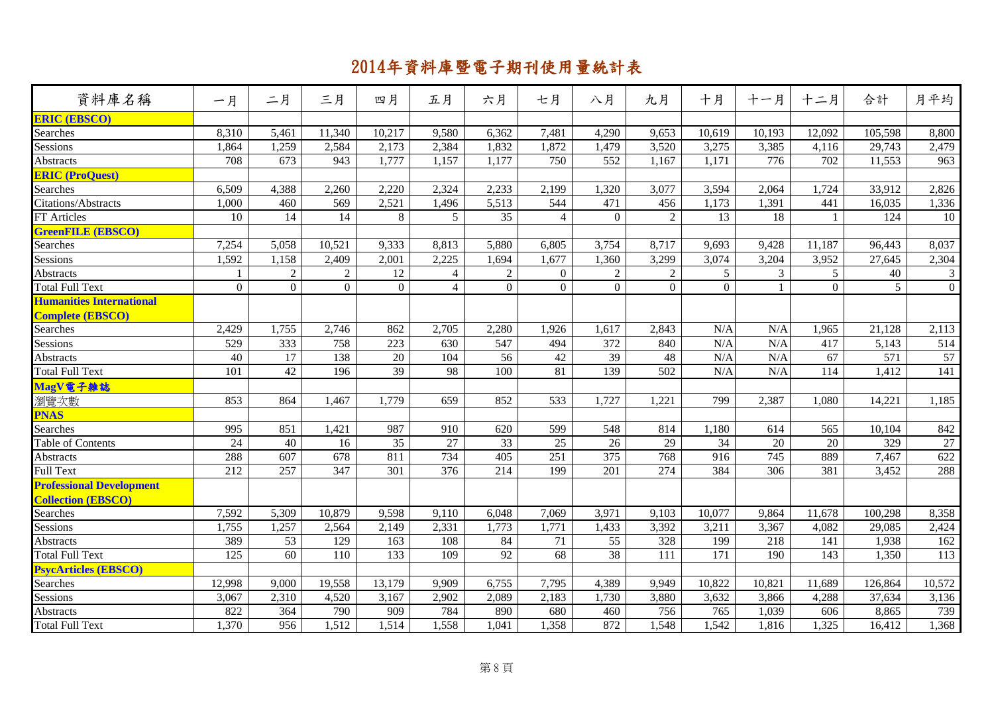| 資料庫名稱                                                        | 一月               | 二月               | 三月               | 四月             | 五月             | 六月               | 七月             | 八月               | 九月               | 十月               | 十一月              | 十二月              | 合計      | 月平均            |
|--------------------------------------------------------------|------------------|------------------|------------------|----------------|----------------|------------------|----------------|------------------|------------------|------------------|------------------|------------------|---------|----------------|
| <b>ERIC (EBSCO)</b>                                          |                  |                  |                  |                |                |                  |                |                  |                  |                  |                  |                  |         |                |
| Searches                                                     | 8,310            | 5,461            | 11,340           | 10,217         | 9,580          | 6,362            | 7,481          | 4,290            | 9,653            | 10,619           | 10,193           | 12,092           | 105,598 | 8,800          |
| Sessions                                                     | 1,864            | 1,259            | 2,584            | 2,173          | 2,384          | 1,832            | 1,872          | 1,479            | 3,520            | 3,275            | 3,385            | 4,116            | 29,743  | 2,479          |
| <b>Abstracts</b>                                             | 708              | $\overline{673}$ | 943              | 1,777          | 1,157          | 1,177            | 750            | $\overline{552}$ | 1,167            | 1,171            | $\overline{776}$ | $\overline{702}$ | 11,553  | 963            |
| <b>ERIC (ProQuest)</b>                                       |                  |                  |                  |                |                |                  |                |                  |                  |                  |                  |                  |         |                |
| Searches                                                     | 6,509            | 4,388            | 2,260            | 2,220          | 2,324          | 2,233            | 2,199          | 1,320            | 3,077            | 3,594            | 2,064            | 1,724            | 33,912  | 2,826          |
| <b>Citations/Abstracts</b>                                   | 1,000            | 460              | 569              | 2,521          | 1,496          | 5,513            | 544            | $\overline{471}$ | 456              | 1,173            | 1,391            | 441              | 16,035  | 1,336          |
| FT Articles                                                  | 10               | 14               | 14               | 8              | 5              | $\overline{35}$  | $\overline{4}$ | $\Omega$         | $\overline{2}$   | 13               | 18               | $\overline{1}$   | 124     | 10             |
| <b>GreenFILE (EBSCO)</b>                                     |                  |                  |                  |                |                |                  |                |                  |                  |                  |                  |                  |         |                |
| Searches                                                     | 7,254            | 5,058            | 10,521           | 9,333          | 8,813          | 5,880            | 6,805          | 3,754            | 8,717            | 9,693            | 9,428            | 11,187           | 96,443  | 8,037          |
| Sessions                                                     | 1,592            | 1,158            | 2,409            | 2,001          | 2,225          | 1,694            | 1,677          | 1,360            | 3,299            | 3,074            | 3,204            | 3,952            | 27,645  | 2,304          |
| Abstracts                                                    |                  | $\overline{c}$   | $\overline{2}$   | 12             | $\overline{4}$ | $\sqrt{2}$       | $\overline{0}$ | $\overline{2}$   | $\overline{2}$   | 5                | $\mathfrak{Z}$   | 5 <sup>5</sup>   | 40      | $\mathfrak{Z}$ |
| <b>Total Full Text</b>                                       | $\boldsymbol{0}$ | $\overline{0}$   | $\overline{0}$   | $\overline{0}$ | $\overline{4}$ | $\mathbf{0}$     | $\overline{0}$ | $\overline{0}$   | $\boldsymbol{0}$ | $\overline{0}$   | $\mathbf{1}$     | $\theta$         | 5       | $\overline{0}$ |
| <b>Humanities International</b>                              |                  |                  |                  |                |                |                  |                |                  |                  |                  |                  |                  |         |                |
| <b>Complete (EBSCO)</b>                                      |                  |                  |                  |                |                |                  |                |                  |                  |                  |                  |                  |         |                |
| Searches                                                     | 2,429            | 1,755            | 2,746            | 862            | 2,705          | 2,280            | 1,926          | 1,617            | 2,843            | N/A              | N/A              | 1,965            | 21,128  | 2,113          |
| Sessions                                                     | 529              | 333              | 758              | 223            | 630            | 547              | 494            | 372              | 840              | N/A              | N/A              | 417              | 5,143   | 514            |
| Abstracts                                                    | 40               | 17               | 138              | 20             | 104            | 56               | 42             | $\overline{39}$  | 48               | N/A              | N/A              | 67               | 571     | 57             |
| <b>Total Full Text</b>                                       | 101              | 42               | 196              | 39             | 98             | 100              | 81             | 139              | 502              | N/A              | N/A              | 114              | 1,412   | 141            |
| MagV電子雜誌                                                     |                  |                  |                  |                |                |                  |                |                  |                  |                  |                  |                  |         |                |
| 瀏覽次數                                                         | 853              | 864              | 1,467            | 1,779          | 659            | 852              | 533            | 1,727            | 1,221            | 799              | 2,387            | 1,080            | 14,221  | 1,185          |
| <b>PNAS</b>                                                  |                  |                  |                  |                |                |                  |                |                  |                  |                  |                  |                  |         |                |
| Searches                                                     | 995              | 851              | 1,421            | 987            | 910            | 620              | 599            | 548              | 814              | 1,180            | 614              | 565              | 10,104  | 842            |
| Table of Contents                                            | 24               | 40               | 16               | 35             | 27             | 33               | 25             | 26               | 29               | 34               | 20               | $20\,$           | 329     | 27             |
| Abstracts                                                    | 288              | 607              | $\overline{678}$ | 811            | 734            | $\overline{405}$ | 251            | $\overline{375}$ | 768              | 916              | 745              | 889              | 7,467   | 622            |
| <b>Full Text</b>                                             | 212              | 257              | 347              | 301            | 376            | 214              | 199            | 201              | 274              | 384              | 306              | 381              | 3,452   | 288            |
| <b>Professional Development</b><br><b>Collection (EBSCO)</b> |                  |                  |                  |                |                |                  |                |                  |                  |                  |                  |                  |         |                |
| Searches                                                     | 7,592            | 5,309            | 10,879           | 9,598          | 9,110          | 6,048            | 7,069          | 3,971            | 9,103            | 10,077           | 9,864            | 11,678           | 100,298 | 8,358          |
| Sessions                                                     | 1,755            | 1,257            | 2,564            | 2,149          | 2,331          | 1,773            | 1,771          | 1,433            | 3,392            | 3,211            | 3,367            | 4,082            | 29,085  | 2,424          |
| Abstracts                                                    | 389              | 53               | 129              | 163            | 108            | 84               | 71             | 55               | 328              | 199              | 218              | 141              | 1,938   | 162            |
| <b>Total Full Text</b>                                       | $\overline{125}$ | $\overline{60}$  | 110              | 133            | 109            | 92               | 68             | $\overline{38}$  | 111              | $\overline{171}$ | 190              | 143              | 1,350   | 113            |
| <b>PsycArticles (EBSCO)</b>                                  |                  |                  |                  |                |                |                  |                |                  |                  |                  |                  |                  |         |                |
| Searches                                                     | 12,998           | 9,000            | 19,558           | 13,179         | 9,909          | 6,755            | 7,795          | 4,389            | 9,949            | 10,822           | 10,821           | 11,689           | 126,864 | 10,572         |
| Sessions                                                     | 3,067            | 2,310            | 4,520            | 3,167          | 2,902          | 2,089            | 2,183          | 1,730            | 3,880            | 3,632            | 3,866            | 4,288            | 37,634  | 3,136          |
| <b>Abstracts</b>                                             | 822              | 364              | 790              | 909            | 784            | 890              | 680            | 460              | 756              | 765              | 1,039            | 606              | 8,865   | 739            |
| <b>Total Full Text</b>                                       | 1,370            | 956              | 1,512            | 1,514          | 1,558          | 1,041            | 1,358          | 872              | 1,548            | 1,542            | 1,816            | 1,325            | 16,412  | 1,368          |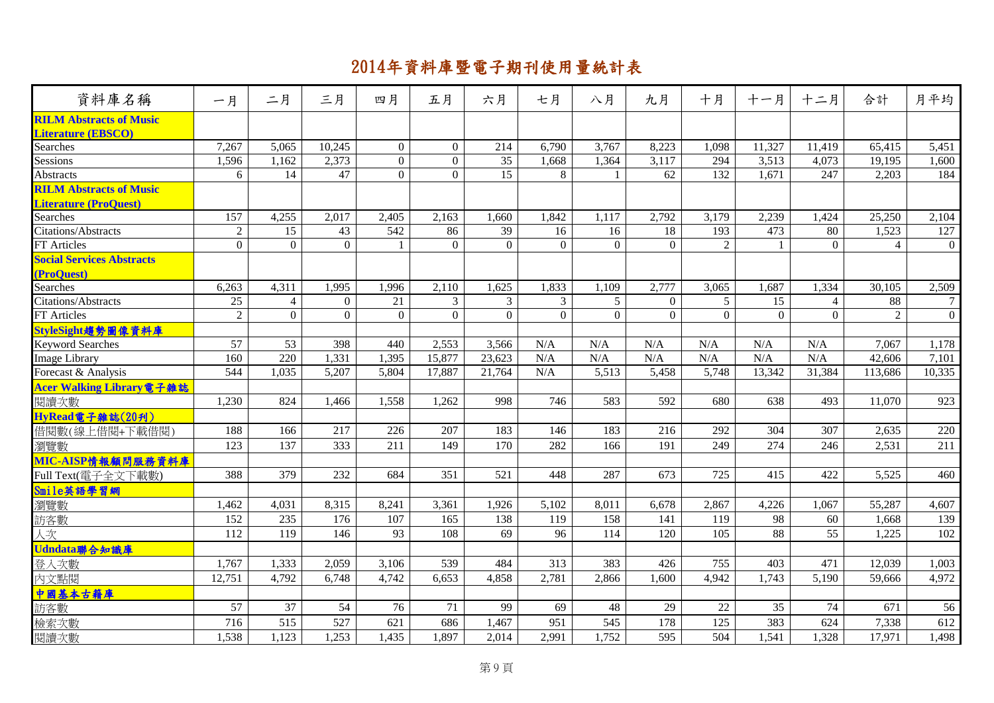| <b>RILM Abstracts of Music</b><br><b>Literature (EBSCO)</b><br>7,267<br>10,245<br>$\overline{0}$<br>8,223<br>5,065<br>$\overline{0}$<br>214<br>6,790<br>3,767<br>1,098<br>11,327<br>11,419<br>65,415<br>Searches<br>$\overline{0}$<br>35<br>1,596<br>1,162<br>2,373<br>$\overline{0}$<br>1,668<br>1,364<br>3,117<br>3,513<br>Sessions<br>294<br>4,073<br>19,195<br>$\overline{0}$<br>47<br>15<br>132<br>Abstracts<br>14<br>$\overline{0}$<br>8<br>62<br>1,671<br>247<br>2,203<br>6<br>$\mathbf{1}$<br><b>RILM Abstracts of Music</b><br><b>Literature (ProQuest)</b><br>157<br>4,255<br>2,017<br>1,842<br>2,792<br>2,239<br>25,250<br><b>Searches</b><br>2,405<br>2,163<br>1,660<br>1,117<br>3,179<br>1,424<br>Citations/Abstracts<br>$\overline{2}$<br>15<br>43<br>542<br>86<br>39<br>16<br>18<br>193<br>473<br>1,523<br>16<br>80<br>$\theta$<br>$\boldsymbol{0}$<br>$\Omega$<br>$\Omega$<br>$\mathbf{0}$<br>$\Omega$<br>$\Omega$<br>2<br>FT Articles<br>$\Omega$<br>$\Omega$<br>$\overline{4}$<br>$\overline{1}$<br><b>Social Services Abstracts</b><br>(ProQuest)<br>1,625<br>1,109<br>Searches<br>6,263<br>4,311<br>1,995<br>2,110<br>1,833<br>2,777<br>3,065<br>1,687<br>1,334<br>30,105<br>1,996<br>$\overline{25}$<br>3 <sup>7</sup><br>3<br>$\overline{3}$<br>5 <sup>5</sup><br>5 <sup>5</sup><br>$\overline{15}$<br>88<br>Citations/Abstracts<br>$\overline{4}$<br>$\overline{0}$<br>21<br>$\overline{0}$<br>$\overline{4}$<br>$\overline{2}$<br>$\overline{0}$<br>$\overline{0}$<br>$\overline{0}$<br>$\Omega$<br>$\Omega$<br>$\Omega$<br>$\overline{0}$<br>$\mathfrak{D}$<br>FT Articles<br>$\Omega$<br>$\Omega$<br>$\Omega$<br>$\Omega$<br>StyleSight趨勢圖像資料庫<br>53<br>57<br>398<br>2,553<br>3,566<br>N/A<br>N/A<br>N/A<br>N/A<br>N/A<br>N/A<br>7,067<br><b>Keyword Searches</b><br>440 | 資料庫名稱                | 一月  | 二月  | 三月    | 四月    | 五月     | 六月     | 七月  | 八月  | 九月  | 十月  | 十一月 | 十二月 | 合計     | 月平均            |
|----------------------------------------------------------------------------------------------------------------------------------------------------------------------------------------------------------------------------------------------------------------------------------------------------------------------------------------------------------------------------------------------------------------------------------------------------------------------------------------------------------------------------------------------------------------------------------------------------------------------------------------------------------------------------------------------------------------------------------------------------------------------------------------------------------------------------------------------------------------------------------------------------------------------------------------------------------------------------------------------------------------------------------------------------------------------------------------------------------------------------------------------------------------------------------------------------------------------------------------------------------------------------------------------------------------------------------------------------------------------------------------------------------------------------------------------------------------------------------------------------------------------------------------------------------------------------------------------------------------------------------------------------------------------------------------------------------------------------------------------------------------------------------------------------|----------------------|-----|-----|-------|-------|--------|--------|-----|-----|-----|-----|-----|-----|--------|----------------|
|                                                                                                                                                                                                                                                                                                                                                                                                                                                                                                                                                                                                                                                                                                                                                                                                                                                                                                                                                                                                                                                                                                                                                                                                                                                                                                                                                                                                                                                                                                                                                                                                                                                                                                                                                                                                    |                      |     |     |       |       |        |        |     |     |     |     |     |     |        |                |
|                                                                                                                                                                                                                                                                                                                                                                                                                                                                                                                                                                                                                                                                                                                                                                                                                                                                                                                                                                                                                                                                                                                                                                                                                                                                                                                                                                                                                                                                                                                                                                                                                                                                                                                                                                                                    |                      |     |     |       |       |        |        |     |     |     |     |     |     |        | 5,451          |
|                                                                                                                                                                                                                                                                                                                                                                                                                                                                                                                                                                                                                                                                                                                                                                                                                                                                                                                                                                                                                                                                                                                                                                                                                                                                                                                                                                                                                                                                                                                                                                                                                                                                                                                                                                                                    |                      |     |     |       |       |        |        |     |     |     |     |     |     |        | 1,600          |
|                                                                                                                                                                                                                                                                                                                                                                                                                                                                                                                                                                                                                                                                                                                                                                                                                                                                                                                                                                                                                                                                                                                                                                                                                                                                                                                                                                                                                                                                                                                                                                                                                                                                                                                                                                                                    |                      |     |     |       |       |        |        |     |     |     |     |     |     |        | 184            |
|                                                                                                                                                                                                                                                                                                                                                                                                                                                                                                                                                                                                                                                                                                                                                                                                                                                                                                                                                                                                                                                                                                                                                                                                                                                                                                                                                                                                                                                                                                                                                                                                                                                                                                                                                                                                    |                      |     |     |       |       |        |        |     |     |     |     |     |     |        |                |
|                                                                                                                                                                                                                                                                                                                                                                                                                                                                                                                                                                                                                                                                                                                                                                                                                                                                                                                                                                                                                                                                                                                                                                                                                                                                                                                                                                                                                                                                                                                                                                                                                                                                                                                                                                                                    |                      |     |     |       |       |        |        |     |     |     |     |     |     |        |                |
|                                                                                                                                                                                                                                                                                                                                                                                                                                                                                                                                                                                                                                                                                                                                                                                                                                                                                                                                                                                                                                                                                                                                                                                                                                                                                                                                                                                                                                                                                                                                                                                                                                                                                                                                                                                                    |                      |     |     |       |       |        |        |     |     |     |     |     |     |        | 2,104          |
|                                                                                                                                                                                                                                                                                                                                                                                                                                                                                                                                                                                                                                                                                                                                                                                                                                                                                                                                                                                                                                                                                                                                                                                                                                                                                                                                                                                                                                                                                                                                                                                                                                                                                                                                                                                                    |                      |     |     |       |       |        |        |     |     |     |     |     |     |        | 127            |
|                                                                                                                                                                                                                                                                                                                                                                                                                                                                                                                                                                                                                                                                                                                                                                                                                                                                                                                                                                                                                                                                                                                                                                                                                                                                                                                                                                                                                                                                                                                                                                                                                                                                                                                                                                                                    |                      |     |     |       |       |        |        |     |     |     |     |     |     |        | $\overline{0}$ |
|                                                                                                                                                                                                                                                                                                                                                                                                                                                                                                                                                                                                                                                                                                                                                                                                                                                                                                                                                                                                                                                                                                                                                                                                                                                                                                                                                                                                                                                                                                                                                                                                                                                                                                                                                                                                    |                      |     |     |       |       |        |        |     |     |     |     |     |     |        |                |
|                                                                                                                                                                                                                                                                                                                                                                                                                                                                                                                                                                                                                                                                                                                                                                                                                                                                                                                                                                                                                                                                                                                                                                                                                                                                                                                                                                                                                                                                                                                                                                                                                                                                                                                                                                                                    |                      |     |     |       |       |        |        |     |     |     |     |     |     |        | 2,509          |
|                                                                                                                                                                                                                                                                                                                                                                                                                                                                                                                                                                                                                                                                                                                                                                                                                                                                                                                                                                                                                                                                                                                                                                                                                                                                                                                                                                                                                                                                                                                                                                                                                                                                                                                                                                                                    |                      |     |     |       |       |        |        |     |     |     |     |     |     |        | $\overline{7}$ |
|                                                                                                                                                                                                                                                                                                                                                                                                                                                                                                                                                                                                                                                                                                                                                                                                                                                                                                                                                                                                                                                                                                                                                                                                                                                                                                                                                                                                                                                                                                                                                                                                                                                                                                                                                                                                    |                      |     |     |       |       |        |        |     |     |     |     |     |     |        | $\mathbf{0}$   |
|                                                                                                                                                                                                                                                                                                                                                                                                                                                                                                                                                                                                                                                                                                                                                                                                                                                                                                                                                                                                                                                                                                                                                                                                                                                                                                                                                                                                                                                                                                                                                                                                                                                                                                                                                                                                    |                      |     |     |       |       |        |        |     |     |     |     |     |     |        |                |
|                                                                                                                                                                                                                                                                                                                                                                                                                                                                                                                                                                                                                                                                                                                                                                                                                                                                                                                                                                                                                                                                                                                                                                                                                                                                                                                                                                                                                                                                                                                                                                                                                                                                                                                                                                                                    |                      |     |     |       |       |        |        |     |     |     |     |     |     |        | 1,178          |
|                                                                                                                                                                                                                                                                                                                                                                                                                                                                                                                                                                                                                                                                                                                                                                                                                                                                                                                                                                                                                                                                                                                                                                                                                                                                                                                                                                                                                                                                                                                                                                                                                                                                                                                                                                                                    | <b>Image Library</b> | 160 | 220 | 1,331 | 1,395 | 15,877 | 23,623 | N/A | N/A | N/A | N/A | N/A | N/A | 42,606 | 7,101          |
| 544<br>1,035<br>5,207<br>5,804<br>N/A<br>5,513<br>13,342<br>31,384<br>Forecast & Analysis<br>17,887<br>21,764<br>5,458<br>5,748<br>113,686                                                                                                                                                                                                                                                                                                                                                                                                                                                                                                                                                                                                                                                                                                                                                                                                                                                                                                                                                                                                                                                                                                                                                                                                                                                                                                                                                                                                                                                                                                                                                                                                                                                         |                      |     |     |       |       |        |        |     |     |     |     |     |     |        | 10,335         |
| Acer Walking Library電子雜誌                                                                                                                                                                                                                                                                                                                                                                                                                                                                                                                                                                                                                                                                                                                                                                                                                                                                                                                                                                                                                                                                                                                                                                                                                                                                                                                                                                                                                                                                                                                                                                                                                                                                                                                                                                           |                      |     |     |       |       |        |        |     |     |     |     |     |     |        |                |
| 824<br>638<br>1,230<br>1,558<br>1,262<br>998<br>746<br>583<br>592<br>680<br>493<br>閱讀次數<br>1,466<br>11,070                                                                                                                                                                                                                                                                                                                                                                                                                                                                                                                                                                                                                                                                                                                                                                                                                                                                                                                                                                                                                                                                                                                                                                                                                                                                                                                                                                                                                                                                                                                                                                                                                                                                                         |                      |     |     |       |       |        |        |     |     |     |     |     |     |        | 923            |
| HyRead電子雜誌(20刊)                                                                                                                                                                                                                                                                                                                                                                                                                                                                                                                                                                                                                                                                                                                                                                                                                                                                                                                                                                                                                                                                                                                                                                                                                                                                                                                                                                                                                                                                                                                                                                                                                                                                                                                                                                                    |                      |     |     |       |       |        |        |     |     |     |     |     |     |        |                |
| 188<br>207<br>183<br>183<br>借閱數(線上借閱+下載借閱)<br>166<br>217<br>226<br>146<br>216<br>292<br>304<br>307<br>2,635                                                                                                                                                                                                                                                                                                                                                                                                                                                                                                                                                                                                                                                                                                                                                                                                                                                                                                                                                                                                                                                                                                                                                                                                                                                                                                                                                                                                                                                                                                                                                                                                                                                                                        |                      |     |     |       |       |        |        |     |     |     |     |     |     |        | 220            |
| 333<br>211<br>170<br>191<br>274<br>123<br>137<br>149<br>282<br>166<br>249<br>246<br>2,531<br>瀏覽數                                                                                                                                                                                                                                                                                                                                                                                                                                                                                                                                                                                                                                                                                                                                                                                                                                                                                                                                                                                                                                                                                                                                                                                                                                                                                                                                                                                                                                                                                                                                                                                                                                                                                                   |                      |     |     |       |       |        |        |     |     |     |     |     |     |        | 211            |
| MIC-AISP情報顧問服務資料庫                                                                                                                                                                                                                                                                                                                                                                                                                                                                                                                                                                                                                                                                                                                                                                                                                                                                                                                                                                                                                                                                                                                                                                                                                                                                                                                                                                                                                                                                                                                                                                                                                                                                                                                                                                                  |                      |     |     |       |       |        |        |     |     |     |     |     |     |        |                |
| 388<br>379<br>232<br>351<br>521<br>287<br>673<br>725<br>415<br>422<br>Full Text(電子全文下載數)<br>684<br>448<br>5,525                                                                                                                                                                                                                                                                                                                                                                                                                                                                                                                                                                                                                                                                                                                                                                                                                                                                                                                                                                                                                                                                                                                                                                                                                                                                                                                                                                                                                                                                                                                                                                                                                                                                                    |                      |     |     |       |       |        |        |     |     |     |     |     |     |        | 460            |
| Smile英語學習網                                                                                                                                                                                                                                                                                                                                                                                                                                                                                                                                                                                                                                                                                                                                                                                                                                                                                                                                                                                                                                                                                                                                                                                                                                                                                                                                                                                                                                                                                                                                                                                                                                                                                                                                                                                         |                      |     |     |       |       |        |        |     |     |     |     |     |     |        |                |
| 1,462<br>4,031<br>$2,86\overline{7}$<br>1,067<br>瀏覽數<br>8,315<br>8,241<br>3,361<br>1,926<br>5,102<br>8,011<br>6,678<br>4,226<br>55,287                                                                                                                                                                                                                                                                                                                                                                                                                                                                                                                                                                                                                                                                                                                                                                                                                                                                                                                                                                                                                                                                                                                                                                                                                                                                                                                                                                                                                                                                                                                                                                                                                                                             |                      |     |     |       |       |        |        |     |     |     |     |     |     |        | 4,607          |
| 152<br>176<br>165<br>98<br>訪客數<br>235<br>107<br>138<br>119<br>158<br>141<br>119<br>60<br>1,668                                                                                                                                                                                                                                                                                                                                                                                                                                                                                                                                                                                                                                                                                                                                                                                                                                                                                                                                                                                                                                                                                                                                                                                                                                                                                                                                                                                                                                                                                                                                                                                                                                                                                                     |                      |     |     |       |       |        |        |     |     |     |     |     |     |        | 139            |
| 人次<br>112<br>119<br>146<br>93<br>108<br>69<br>105<br>88<br>55<br>96<br>114<br>120<br>1,225                                                                                                                                                                                                                                                                                                                                                                                                                                                                                                                                                                                                                                                                                                                                                                                                                                                                                                                                                                                                                                                                                                                                                                                                                                                                                                                                                                                                                                                                                                                                                                                                                                                                                                         |                      |     |     |       |       |        |        |     |     |     |     |     |     |        | $102\,$        |
| Udndata聯合知識庫                                                                                                                                                                                                                                                                                                                                                                                                                                                                                                                                                                                                                                                                                                                                                                                                                                                                                                                                                                                                                                                                                                                                                                                                                                                                                                                                                                                                                                                                                                                                                                                                                                                                                                                                                                                       |                      |     |     |       |       |        |        |     |     |     |     |     |     |        |                |
| 登入次數<br>1,767<br>1,333<br>2,059<br>539<br>484<br>313<br>383<br>755<br>403<br>471<br>12,039<br>3,106<br>426                                                                                                                                                                                                                                                                                                                                                                                                                                                                                                                                                                                                                                                                                                                                                                                                                                                                                                                                                                                                                                                                                                                                                                                                                                                                                                                                                                                                                                                                                                                                                                                                                                                                                         |                      |     |     |       |       |        |        |     |     |     |     |     |     |        | 1,003          |
| 内文點閱<br>12,751<br>4,792<br>6,748<br>4,742<br>6,653<br>4,858<br>2,781<br>2,866<br>4,942<br>1,743<br>5,190<br>1,600<br>59,666                                                                                                                                                                                                                                                                                                                                                                                                                                                                                                                                                                                                                                                                                                                                                                                                                                                                                                                                                                                                                                                                                                                                                                                                                                                                                                                                                                                                                                                                                                                                                                                                                                                                        |                      |     |     |       |       |        |        |     |     |     |     |     |     |        | 4,972          |
| 中國基本古籍庫                                                                                                                                                                                                                                                                                                                                                                                                                                                                                                                                                                                                                                                                                                                                                                                                                                                                                                                                                                                                                                                                                                                                                                                                                                                                                                                                                                                                                                                                                                                                                                                                                                                                                                                                                                                            |                      |     |     |       |       |        |        |     |     |     |     |     |     |        |                |
| 57<br>37<br>99<br>$22\,$<br>35<br>訪客數<br>54<br>76<br>71<br>69<br>48<br>29<br>74<br>671                                                                                                                                                                                                                                                                                                                                                                                                                                                                                                                                                                                                                                                                                                                                                                                                                                                                                                                                                                                                                                                                                                                                                                                                                                                                                                                                                                                                                                                                                                                                                                                                                                                                                                             |                      |     |     |       |       |        |        |     |     |     |     |     |     |        | 56             |
| 515<br>527<br>1,467<br>178<br>125<br>383<br>檢索次數<br>716<br>621<br>686<br>951<br>545<br>624<br>7,338                                                                                                                                                                                                                                                                                                                                                                                                                                                                                                                                                                                                                                                                                                                                                                                                                                                                                                                                                                                                                                                                                                                                                                                                                                                                                                                                                                                                                                                                                                                                                                                                                                                                                                |                      |     |     |       |       |        |        |     |     |     |     |     |     |        | 612            |
| $\overline{504}$<br>1,538<br>1,123<br>1,253<br>1,435<br>1,897<br>2,014<br>2,991<br>1,752<br>595<br>1,541<br>1,328<br>17,971<br>閱讀次數                                                                                                                                                                                                                                                                                                                                                                                                                                                                                                                                                                                                                                                                                                                                                                                                                                                                                                                                                                                                                                                                                                                                                                                                                                                                                                                                                                                                                                                                                                                                                                                                                                                                |                      |     |     |       |       |        |        |     |     |     |     |     |     |        | 1,498          |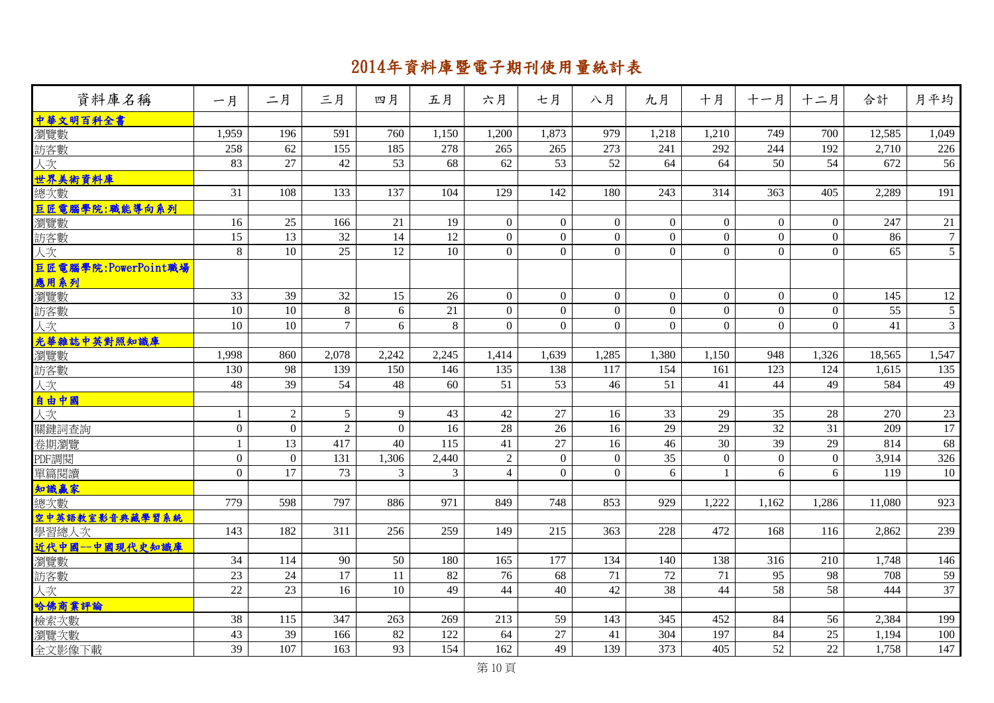| 資料庫名稱               | 一月               | 二月             | 三月              | 四月       | 五月             | 六月               | 七月             | 八月             | 九月             | 十月             | 十一月              | 十二月            | 合計     | 月平均             |
|---------------------|------------------|----------------|-----------------|----------|----------------|------------------|----------------|----------------|----------------|----------------|------------------|----------------|--------|-----------------|
| 中華文明百科全書            |                  |                |                 |          |                |                  |                |                |                |                |                  |                |        |                 |
| 瀏覽數                 | 1,959            | 196            | 591             | 760      | 1,150          | 1,200            | 1,873          | 979            | 1,218          | 1,210          | 749              | 700            | 12,585 | 1,049           |
| 訪客數                 | 258              | 62             | 155             | 185      | 278            | 265              | 265            | 273            | 241            | 292            | 244              | 192            | 2,710  | 226             |
| 人次                  | 83               | 27             | 42              | 53       | 68             | 62               | 53             | 52             | 64             | 64             | 50               | 54             | 672    | 56              |
| 世界美術資料庫             |                  |                |                 |          |                |                  |                |                |                |                |                  |                |        |                 |
| 總次數                 | 31               | 108            | 133             | 137      | 104            | 129              | 142            | 180            | 243            | 314            | 363              | 405            | 2,289  | 191             |
| 巨匠電腦學院:職能導向系列       |                  |                |                 |          |                |                  |                |                |                |                |                  |                |        |                 |
| 瀏覽數                 | 16               | 25             | 166             | 21       | 19             | $\overline{0}$   | $\overline{0}$ | $\overline{0}$ | $\overline{0}$ | $\overline{0}$ | $\mathbf{0}$     | $\Omega$       | 247    | 21              |
| 訪客數                 | 15               | 13             | 32              | 14       | 12             | $\boldsymbol{0}$ | $\overline{0}$ | $\mathbf{0}$   | $\mathbf{0}$   | $\overline{0}$ | $\boldsymbol{0}$ | $\overline{0}$ | 86     | $7\phantom{.0}$ |
| 人次                  | 8                | 10             | 25              | 12       | 10             | $\overline{0}$   | $\Omega$       | $\Omega$       | $\theta$       | $\overline{0}$ | $\Omega$         | $\Omega$       | 65     | $5\overline{)}$ |
| 巨匠電腦學院:PowerPoint職場 |                  |                |                 |          |                |                  |                |                |                |                |                  |                |        |                 |
| 應用系列                |                  |                |                 |          |                |                  |                |                |                |                |                  |                |        |                 |
| 瀏覽數                 | 33               | 39             | 32              | 15       | 26             | $\boldsymbol{0}$ | $\Omega$       | $\overline{0}$ | $\mathbf{0}$   | $\overline{0}$ | $\mathbf{0}$     | $\Omega$       | 145    | 12              |
| 訪客數                 | 10               | 10             | 8               | 6        | 21             | $\mathbf{0}$     | $\Omega$       | $\overline{0}$ | $\mathbf{0}$   | $\overline{0}$ | $\mathbf{0}$     | $\Omega$       | 55     | $5\overline{)}$ |
| 人次                  | 10               | 10             | $\overline{7}$  | 6        | 8              | $\mathbf{0}$     | $\overline{0}$ | $\Omega$       | $\overline{0}$ | $\overline{0}$ | $\mathbf{0}$     | $\Omega$       | 41     | $\overline{3}$  |
| 光華雜誌中英對照知識庫         |                  |                |                 |          |                |                  |                |                |                |                |                  |                |        |                 |
| 瀏覽數                 | 1,998            | 860            | 2,078           | 2,242    | 2,245          | 1,414            | 1,639          | 1,285          | 1,380          | 1,150          | 948              | 1,326          | 18,565 | 1,547           |
| 訪客數                 | 130              | 98             | 139             | 150      | 146            | 135              | 138            | 117            | 154            | 161            | 123              | 124            | 1,615  | 135             |
| 人次                  | 48               | 39             | 54              | 48       | 60             | 51               | 53             | 46             | 51             | 41             | 44               | 49             | 584    | 49              |
| 自由中國                |                  |                |                 |          |                |                  |                |                |                |                |                  |                |        |                 |
| 人次                  | -1               | $\overline{2}$ | $5\overline{)}$ | 9        | 43             | 42               | 27             | 16             | 33             | 29             | 35               | 28             | 270    | 23              |
| 關鍵詞查詢               | $\mathbf{0}$     | $\overline{0}$ | $\overline{2}$  | $\theta$ | 16             | 28               | 26             | 16             | 29             | 29             | 32               | 31             | 209    | 17              |
| 卷期瀏覽                | -1               | 13             | 417             | 40       | 115            | 41               | 27             | 16             | 46             | 30             | 39               | 29             | 814    | 68              |
| PDF調閱               | $\boldsymbol{0}$ | $\overline{0}$ | 131             | 1,306    | 2,440          | $\sqrt{2}$       | $\overline{0}$ | $\theta$       | 35             | $\overline{0}$ | $\overline{0}$   | $\Omega$       | 3,914  | 326             |
| 單篇閱讀                | $\theta$         | 17             | 73              | 3        | $\overline{3}$ | $\overline{4}$   | $\Omega$       | $\Omega$       | 6              | $\mathbf{1}$   | 6                | 6              | 119    | 10              |
| 知識赢家                |                  |                |                 |          |                |                  |                |                |                |                |                  |                |        |                 |
| 總次數                 | 779              | 598            | 797             | 886      | 971            | 849              | 748            | 853            | 929            | 1,222          | 1,162            | 1,286          | 11,080 | 923             |
| 空中英語教室影音典藏學習系統      |                  |                |                 |          |                |                  |                |                |                |                |                  |                |        |                 |
| 學習總人次               | 143              | 182            | 311             | 256      | 259            | 149              | 215            | 363            | 228            | 472            | 168              | 116            | 2,862  | 239             |
| 近代中國--中國現代史知識庫      |                  |                |                 |          |                |                  |                |                |                |                |                  |                |        |                 |
| 瀏覽數                 | 34               | 114            | 90              | 50       | 180            | 165              | 177            | 134            | 140            | 138            | 316              | 210            | 1,748  | 146             |
| 訪客數                 | 23               | 24             | 17              | 11       | 82             | 76               | 68             | 71             | 72             | 71             | 95               | 98             | 708    | 59              |
| 人次                  | 22               | 23             | 16              | 10       | 49             | 44               | 40             | 42             | 38             | 44             | 58               | 58             | 444    | $\overline{37}$ |
| 哈佛商業評論              |                  |                |                 |          |                |                  |                |                |                |                |                  |                |        |                 |
| 檢索次數                | 38               | 115            | 347             | 263      | 269            | 213              | 59             | 143            | 345            | 452            | 84               | 56             | 2,384  | 199             |
| 瀏覽次數                | 43               | 39             | 166             | 82       | 122            | 64               | $27\,$         | 41             | 304            | 197            | 84               | 25             | 1,194  | 100             |
| 全文影像下載              | 39               | 107            | 163             | 93       | 154            | 162              | 49             | 139            | 373            | 405            | 52               | 22             | 1,758  | 147             |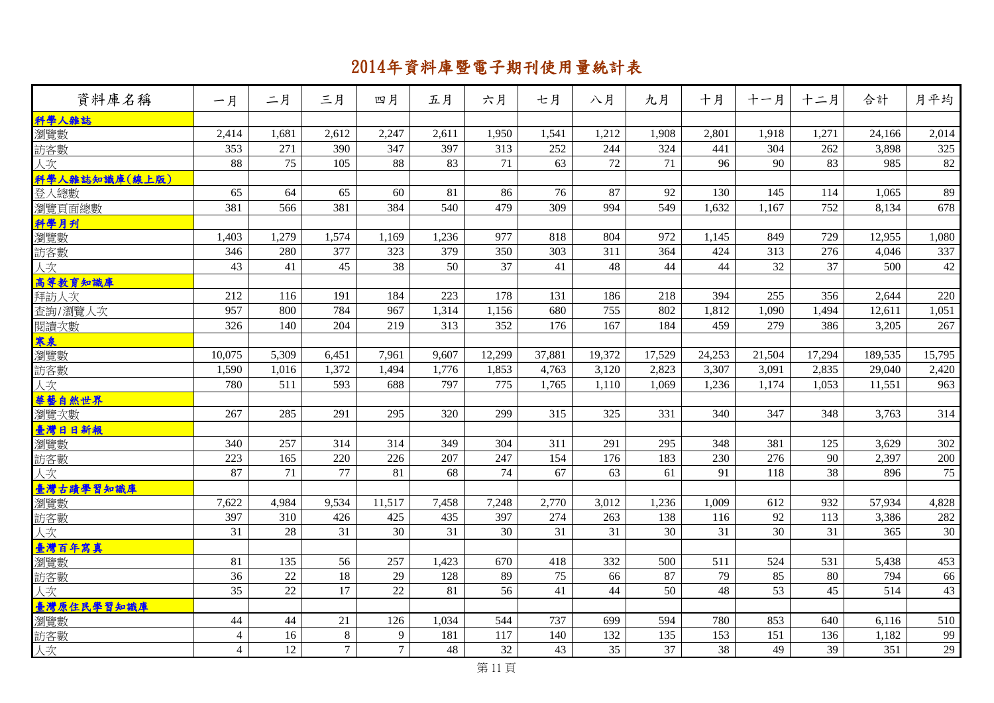| 資料庫名稱         | 一月              | 二月     | 三月              | 四月             | 五月              | 六月              | 七月     | 八月              | 九月     | 十月     | 十一月    | 十二月    | 合計               | 月平均     |
|---------------|-----------------|--------|-----------------|----------------|-----------------|-----------------|--------|-----------------|--------|--------|--------|--------|------------------|---------|
| 科學人雜誌         |                 |        |                 |                |                 |                 |        |                 |        |        |        |        |                  |         |
| 瀏覽數           | 2,414           | 1,681  | 2,612           | 2,247          | 2,611           | 1,950           | 1,541  | 1,212           | 1,908  | 2,801  | 1,918  | 1,271  | 24,166           | 2,014   |
| 訪客數           | 353             | 271    | 390             | 347            | 397             | 313             | 252    | 244             | 324    | 441    | 304    | 262    | 3,898            | 325     |
| 人次            | 88              | 75     | 105             | 88             | 83              | $\overline{71}$ | 63     | $\overline{72}$ | 71     | 96     | 90     | 83     | 985              | $82\,$  |
| 科學人雜誌知識庫(線上版) |                 |        |                 |                |                 |                 |        |                 |        |        |        |        |                  |         |
| 登入總數          | 65              | 64     | 65              | 60             | 81              | 86              | 76     | 87              | 92     | 130    | 145    | 114    | 1,065            | 89      |
| 瀏覽頁面總數        | 381             | 566    | 381             | 384            | 540             | 479             | 309    | 994             | 549    | 1,632  | 1,167  | 752    | 8,134            | 678     |
| 科學月刊          |                 |        |                 |                |                 |                 |        |                 |        |        |        |        |                  |         |
| 瀏覽數           | 1,403           | 1,279  | 1,574           | 1,169          | 1,236           | 977             | 818    | 804             | 972    | 1,145  | 849    | 729    | 12,955           | 1,080   |
| 訪客數           | 346             | 280    | 377             | 323            | 379             | 350             | 303    | 311             | 364    | 424    | 313    | 276    | 4,046            | 337     |
| 人次            | 43              | 41     | 45              | 38             | 50              | 37              | 41     | 48              | 44     | 44     | 32     | 37     | 500              | 42      |
| 高等教育知識庫       |                 |        |                 |                |                 |                 |        |                 |        |        |        |        |                  |         |
| 拜訪人次          | 212             | 116    | 191             | 184            | 223             | 178             | 131    | 186             | 218    | 394    | 255    | 356    | 2,644            | 220     |
| 查詢/瀏覽人次       | 957             | 800    | 784             | 967            | 1,314           | 1,156           | 680    | 755             | 802    | 1,812  | 1,090  | 1,494  | 12,611           | 1,051   |
| 閱讀次數          | 326             | 140    | 204             | 219            | 313             | 352             | 176    | 167             | 184    | 459    | 279    | 386    | 3,205            | 267     |
| 寒泉            |                 |        |                 |                |                 |                 |        |                 |        |        |        |        |                  |         |
| 瀏覽數           | 10,075          | 5,309  | 6,451           | 7,961          | 9,607           | 12,299          | 37,881 | 19,372          | 17,529 | 24,253 | 21,504 | 17,294 | 189,535          | 15,795  |
| 訪客數           | 1,590           | 1,016  | 1,372           | 1,494          | 1,776           | 1,853           | 4,763  | 3,120           | 2,823  | 3,307  | 3,091  | 2,835  | 29,040           | 2,420   |
| 人次            | 780             | 511    | 593             | 688            | 797             | 775             | 1,765  | 1,110           | 1,069  | 1,236  | 1,174  | 1,053  | 11,551           | 963     |
| 華藝自然世界        |                 |        |                 |                |                 |                 |        |                 |        |        |        |        |                  |         |
| 瀏覽次數          | 267             | 285    | 291             | 295            | 320             | 299             | 315    | 325             | 331    | 340    | 347    | 348    | 3,763            | 314     |
| 臺灣日日新報        |                 |        |                 |                |                 |                 |        |                 |        |        |        |        |                  |         |
| 瀏覽數           | 340             | 257    | 314             | 314            | 349             | 304             | 311    | 291             | 295    | 348    | 381    | 125    | 3,629            | 302     |
| 訪客數           | 223             | 165    | 220             | 226            | 207             | 247             | 154    | 176             | 183    | 230    | 276    | 90     | 2,397            | $200\,$ |
| 人次            | 87              | 71     | 77              | 81             | 68              | 74              | 67     | 63              | 61     | 91     | 118    | 38     | 896              | 75      |
| 臺灣古蹟學習知識庫     |                 |        |                 |                |                 |                 |        |                 |        |        |        |        |                  |         |
| 瀏覽數           | 7,622           | 4,984  | 9,534           | 11,517         | 7,458           | 7,248           | 2,770  | 3,012           | 1,236  | 1,009  | 612    | 932    | 57,934           | 4,828   |
| 訪客數           | 397             | 310    | 426             | 425            | 435             | 397             | 274    | 263             | 138    | 116    | 92     | 113    | 3,386            | 282     |
| 人次            | $\overline{31}$ | 28     | $\overline{31}$ | 30             | $\overline{31}$ | $\overline{30}$ | 31     | $\overline{31}$ | 30     | 31     | 30     | 31     | 365              | $30\,$  |
| 臺灣百年寫真        |                 |        |                 |                |                 |                 |        |                 |        |        |        |        |                  |         |
| 瀏覽數           | 81              | 135    | 56              | 257            | 1,423           | 670             | 418    | 332             | 500    | 511    | 524    | 531    | 5,438            | 453     |
| 訪客數           | 36              | 22     | 18              | 29             | 128             | 89              | 75     | 66              | 87     | 79     | 85     | 80     | 794              | 66      |
| 人次            | 35              | $22\,$ | 17              | $22\,$         | 81              | 56              | 41     | 44              | 50     | 48     | 53     | 45     | 514              | 43      |
| 臺灣原住民學習知識庫    |                 |        |                 |                |                 |                 |        |                 |        |        |        |        |                  |         |
| 瀏覽數           | 44              | 44     | 21              | 126            | 1,034           | 544             | 737    | 699             | 594    | 780    | 853    | 640    | 6,116            | 510     |
| 訪客數           | $\overline{4}$  | 16     | 8               | 9              | 181             | 117             | 140    | 132             | 135    | 153    | 151    | 136    | 1,182            | 99      |
| 人次            | $\overline{4}$  | 12     | $\overline{7}$  | $\overline{7}$ | 48              | 32              | 43     | 35              | 37     | 38     | 49     | 39     | $\overline{351}$ | $29\,$  |